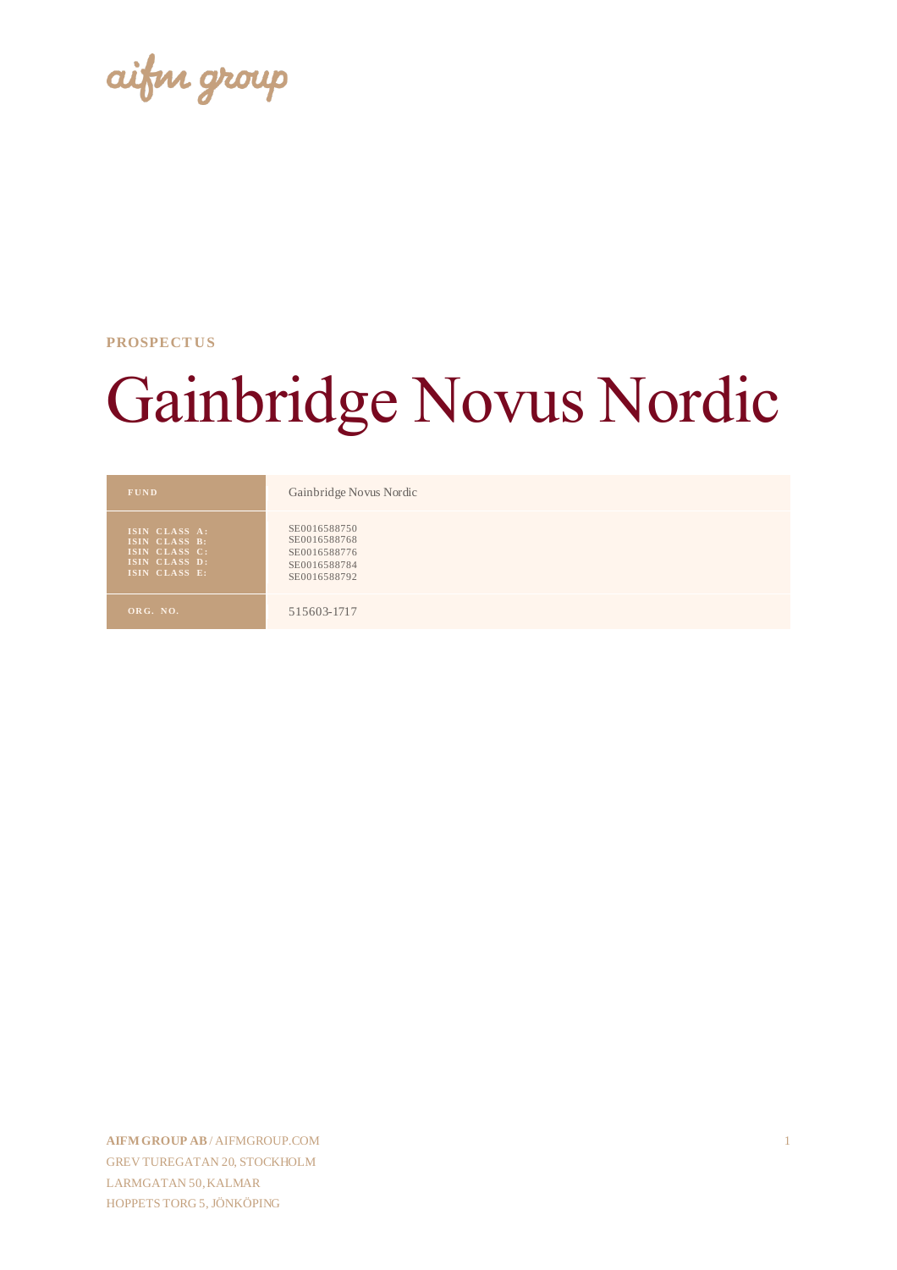aifin group

#### **PROSPECT US**

# Gainbridge Novus Nordic

| <b>FUND</b>                                                                       | Gainbridge Novus Nordic                                                      |
|-----------------------------------------------------------------------------------|------------------------------------------------------------------------------|
| ISIN CLASS A:<br>ISIN CLASS B:<br>ISIN CLASS C:<br>ISIN CLASS D:<br>ISIN CLASS E: | SE0016588750<br>SE0016588768<br>SE0016588776<br>SE0016588784<br>SE0016588792 |
| ORG. NO.                                                                          | 515603-1717                                                                  |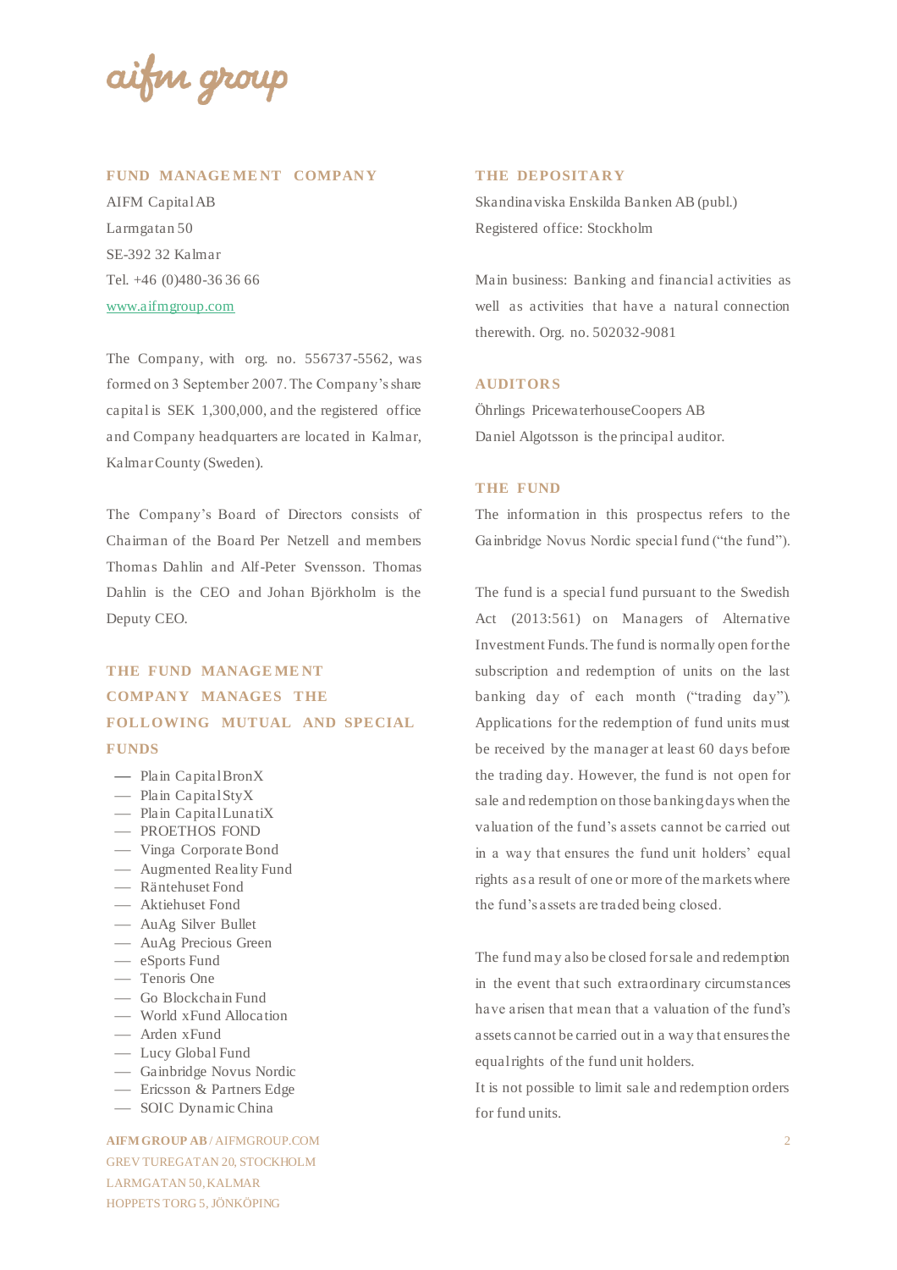aifin group

#### **FUND MANAGE ME NT COMPANY**

AIFM Capital AB Larmgatan 50 SE-392 32 Kalmar Tel. +46 (0)480-36 36 66 [www.aifmgroup.com](http://www.aifmgroup.com/) 

The Company, with org. no. 556737-5562, was formed on 3 September 2007. The Company's share capital is SEK 1,300,000, and the registered office and Company headquarters are located in Kalmar, Kalmar County (Sweden).

The Company's Board of Directors consists of Chairman of the Board Per Netzell and members Thomas Dahlin and Alf-Peter Svensson. Thomas Dahlin is the CEO and Johan Björkholm is the Deputy CEO.

## **THE FUND MANAGE ME NT COMPANY MANAGES THE FOLLOWING MUTUAL AND SPECIAL FUNDS**

- Plain Capital BronX
- Plain Capital StyX
- Plain Capital LunatiX
- PROETHOS FOND
- ⎯ Vinga Corporate Bond
- Augmented Reality Fund
- Räntehuset Fond
- Aktiehuset Fond
- AuAg Silver Bullet
- AuAg Precious Green
- $-$  eSports Fund
- Tenoris One
- ⎯ Go Blockchain Fund
- World xFund Allocation
- Arden xFund
- Lucy Global Fund
- ⎯ Gainbridge Novus Nordic
- Ericsson & Partners Edge
- ⎯ SOIC Dynamic China

**AIFM GROUP AB** / AIFMGROUP.COM GREV TUREGATAN 20, STOCKHOLM LARMGATAN 50, KALMAR HOPPETS TORG 5, JÖNKÖPING

#### **THE DEPOSITARY**

Skandinaviska Enskilda Banken AB (publ.) Registered office: Stockholm

Main business: Banking and financial activities as well as activities that have a natural connection therewith. Org. no. 502032-9081

#### **AUDITORS**

Öhrlings PricewaterhouseCoopers AB Daniel Algotsson is the principal auditor.

#### **THE FUND**

The information in this prospectus refers to the Gainbridge Novus Nordic special fund ("the fund").

The fund is a special fund pursuant to the Swedish Act (2013:561) on Managers of Alternative Investment Funds. The fund is normally open for the subscription and redemption of units on the last banking day of each month ("trading day"). Applications for the redemption of fund units must be received by the manager at least 60 days before the trading day. However, the fund is not open for sale and redemption on those banking days when the valuation of the fund's assets cannot be carried out in a way that ensures the fund unit holders' equal rights as a result of one or more of the markets where the fund's assets are traded being closed.

The fund may also be closed for sale and redemption in the event that such extraordinary circumstances have arisen that mean that a valuation of the fund's assets cannot be carried out in a way that ensures the equal rights of the fund unit holders.

It is not possible to limit sale and redemption orders for fund units.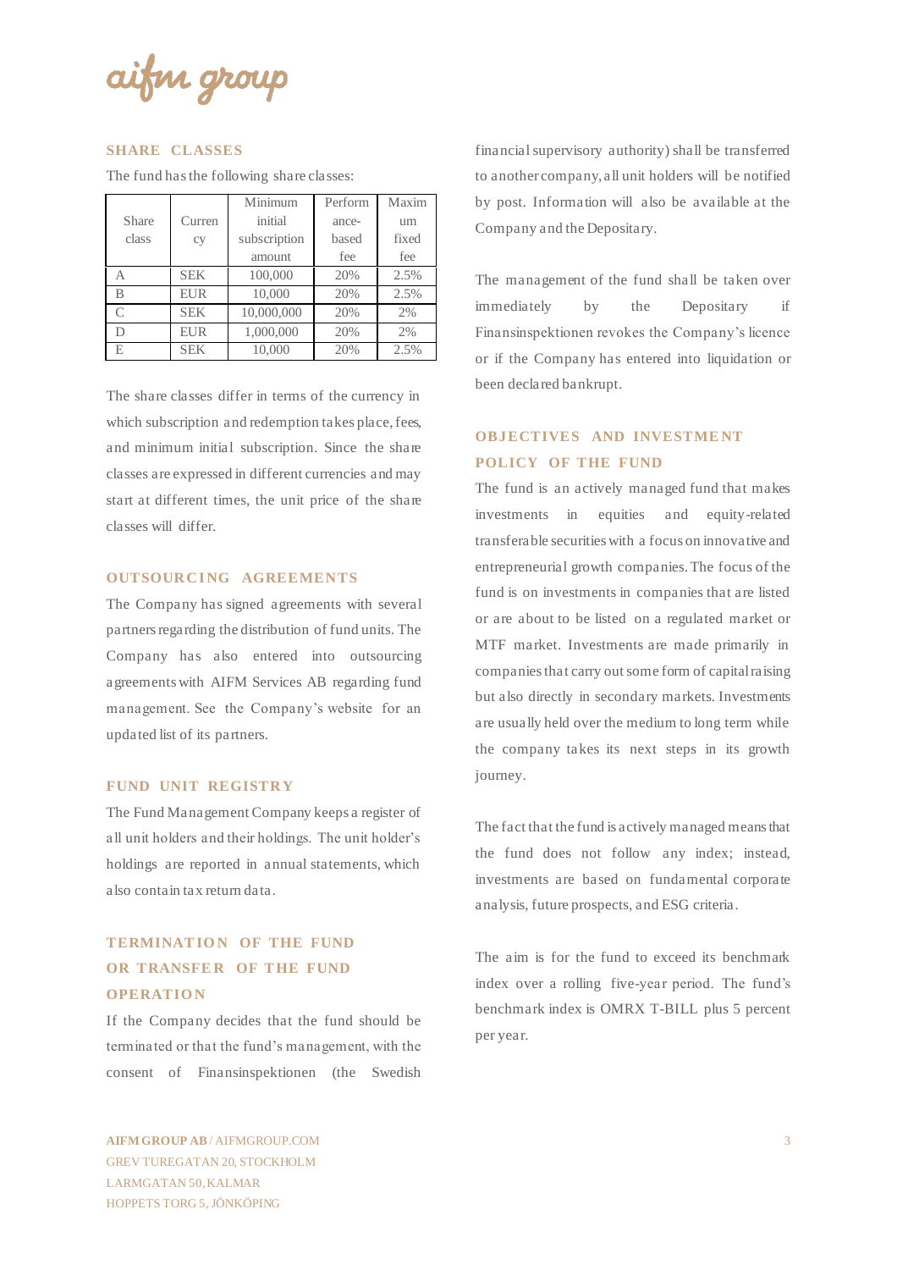aifin group

#### **SHARE CLASSES**

The fund has the following share classes:

|           |            | Minimum      | Perform | Maxim |  |
|-----------|------------|--------------|---------|-------|--|
| Share     | Curren     | initial      | ance-   | um    |  |
| class     | cy         | subscription | based   | fixed |  |
|           |            | amount       | fee     | fee   |  |
| А         | <b>SEK</b> | 100,000      | 20%     | 2.5%  |  |
| В         | <b>EUR</b> | 10,000       | 20%     | 2.5%  |  |
| $\subset$ | <b>SEK</b> | 10,000,000   | 20%     | 2%    |  |
|           | <b>EUR</b> | 1,000,000    | 20%     | 2%    |  |
| E.        | <b>SEK</b> | 10,000       | 20%     | 2.5%  |  |

The share classes differ in terms of the currency in which subscription and redemption takes place, fees, and minimum initial subscription. Since the share classes are expressed in different currencies and may start at different times, the unit price of the share classes will differ.

#### **OUTSOURCING AGREEMENTS**

The Company has signed agreements with several partners regarding the distribution of fund units. The Company has also entered into outsourcing agreements with AIFM Services AB regarding fund management. See the Company's website for an updated list of its partners.

#### **FUND UNIT REGISTRY**

The Fund Management Company keeps a register of all unit holders and their holdings. The unit holder's holdings are reported in annual statements, which also contain tax return data.

## **TERMINATION OF THE FUND OR TRANSFER OF THE FUND OPERATIO N**

If the Company decides that the fund should be terminated or that the fund's management, with the consent of Finansinspektionen (the Swedish

financial supervisory authority) shall be transferred to another company, all unit holders will be notified by post. Information will also be available at the Company and the Depositary.

The management of the fund shall be taken over immediately by the Depositary if Finansinspektionen revokes the Company's licence or if the Company has entered into liquidation or been declared bankrupt.

## **OBJECTIVES AND INVESTME NT POLICY OF THE FUND**

The fund is an actively managed fund that makes investments in equities and equity-related transferable securities with a focus on innovative and entrepreneurial growth companies. The focus of the fund is on investments in companies that are listed or are about to be listed on a regulated market or MTF market. Investments are made primarily in companies that carry out some form of capital raising but also directly in secondary markets. Investments are usually held over the medium to long term while the company takes its next steps in its growth journey.

The fact that the fund is actively managed means that the fund does not follow any index; instead, investments are based on fundamental corporate analysis, future prospects, and ESG criteria.

The aim is for the fund to exceed its benchmark index over a rolling five-year period. The fund's benchmark index is OMRX T-BILL plus 5 percent per year.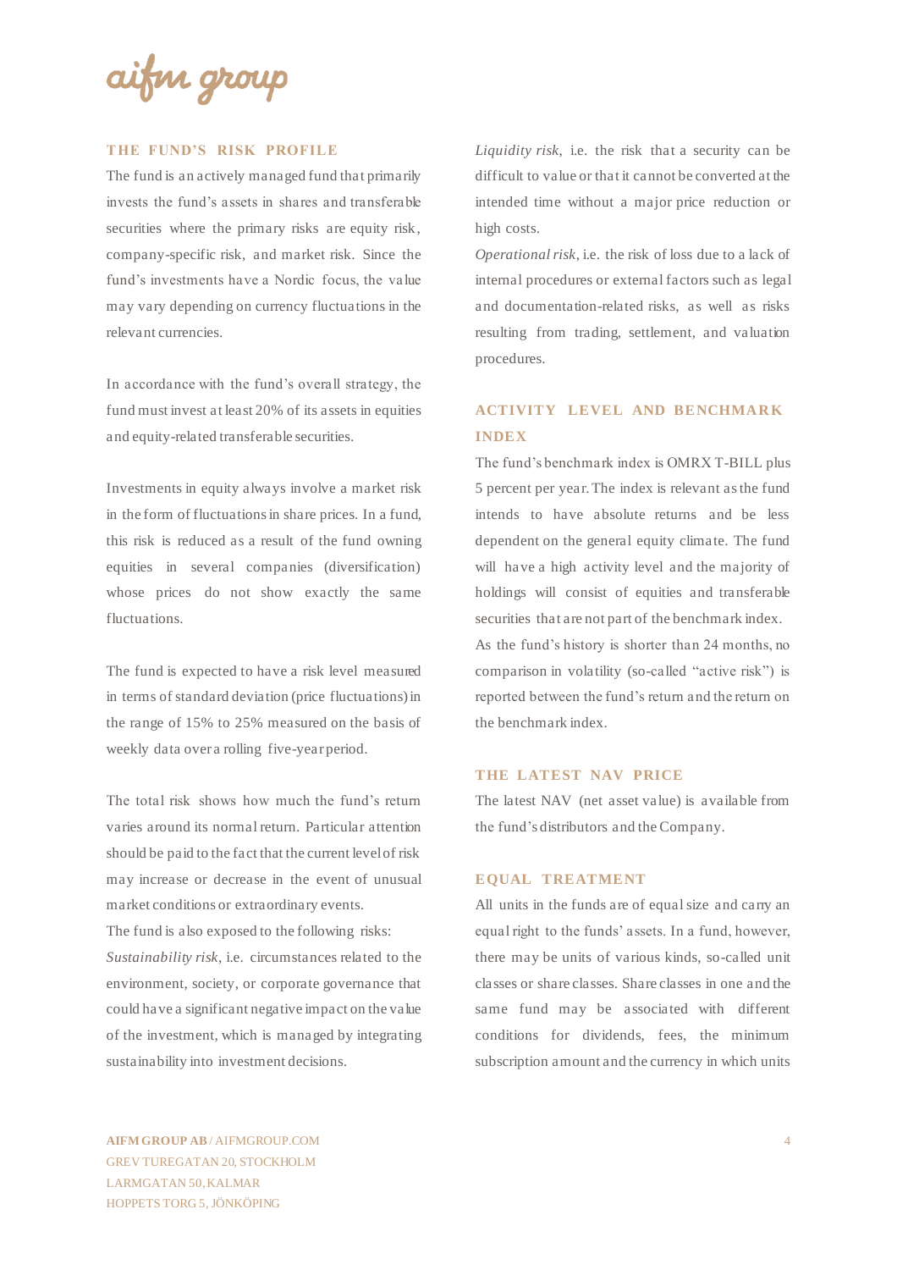aifin group

#### **THE FUND'S RISK PROFILE**

The fund is an actively managed fund that primarily invests the fund's assets in shares and transferable securities where the primary risks are equity risk, company-specific risk, and market risk. Since the fund's investments have a Nordic focus, the value may vary depending on currency fluctuations in the relevant currencies.

In accordance with the fund's overall strategy, the fund must invest at least 20% of its assets in equities and equity-related transferable securities.

Investments in equity always involve a market risk in the form of fluctuations in share prices. In a fund, this risk is reduced as a result of the fund owning equities in several companies (diversification) whose prices do not show exactly the same fluctuations.

The fund is expected to have a risk level measured in terms of standard deviation (price fluctuations) in the range of 15% to 25% measured on the basis of weekly data over a rolling five-year period.

The total risk shows how much the fund's return varies around its normal return. Particular attention should be paid to the fact that the current level of risk may increase or decrease in the event of unusual market conditions or extraordinary events.

The fund is also exposed to the following risks: *Sustainability risk*, i.e. circumstances related to the environment, society, or corporate governance that could have a significant negative impact on the value of the investment, which is managed by integrating sustainability into investment decisions.

*Liquidity risk*, i.e. the risk that a security can be difficult to value or that it cannot be converted at the intended time without a major price reduction or high costs.

*Operational risk*, i.e. the risk of loss due to a lack of internal procedures or external factors such as legal and documentation-related risks, as well as risks resulting from trading, settlement, and valuation procedures.

## **ACTIVITY LEVEL AND BENCHMARK INDEX**

The fund's benchmark index is OMRX T-BILL plus 5 percent per year. The index is relevant as the fund intends to have absolute returns and be less dependent on the general equity climate. The fund will have a high activity level and the majority of holdings will consist of equities and transferable securities that are not part of the benchmark index.

As the fund's history is shorter than 24 months, no comparison in volatility (so-called "active risk") is reported between the fund's return and the return on the benchmark index.

#### **THE LATEST NAV PRICE**

The latest NAV (net asset value) is available from the fund's distributors and the Company.

#### **EQUAL TREATMENT**

All units in the funds are of equal size and carry an equal right to the funds' assets. In a fund, however, there may be units of various kinds, so-called unit classes or share classes. Share classes in one and the same fund may be associated with different conditions for dividends, fees, the minimum subscription amount and the currency in which units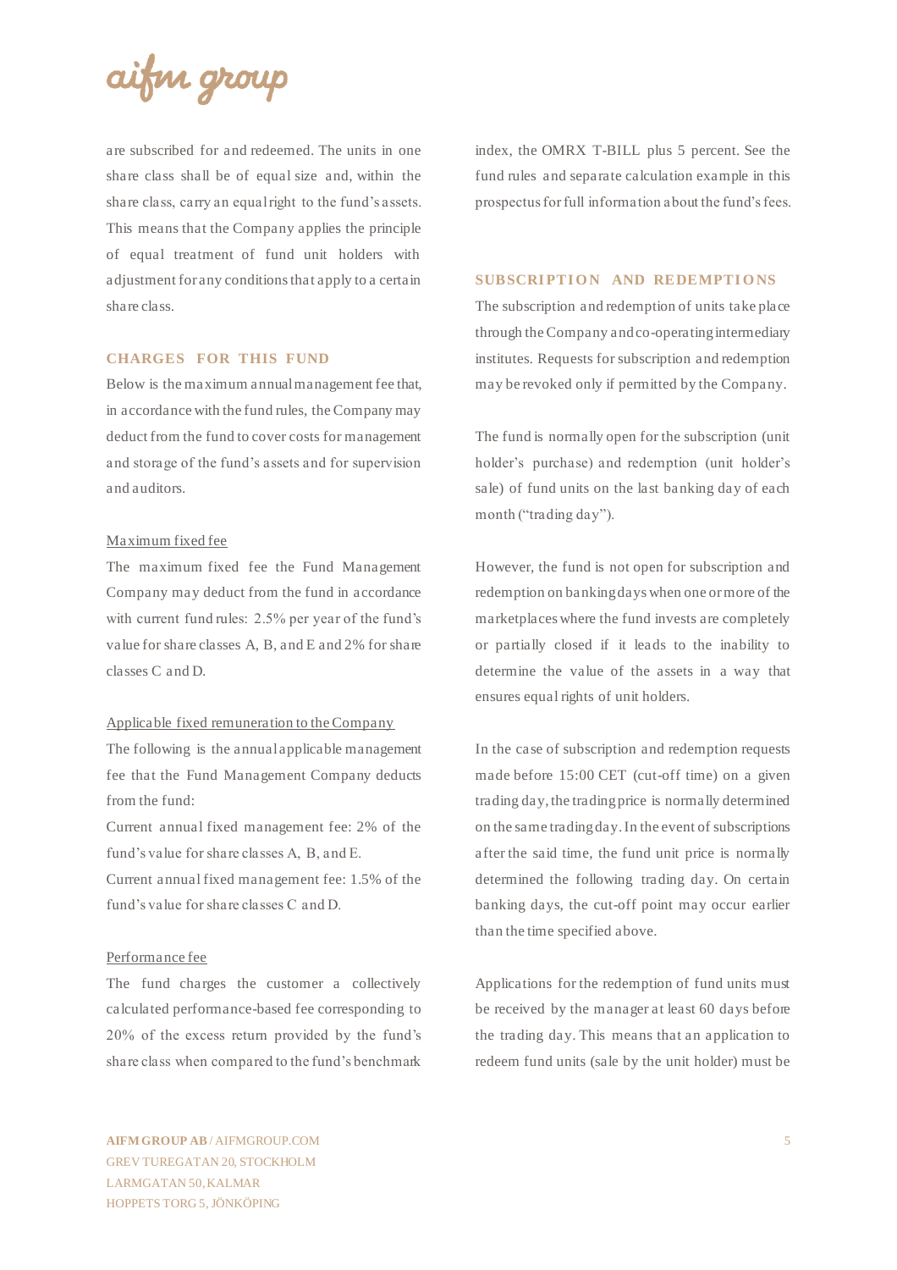

are subscribed for and redeemed. The units in one share class shall be of equal size and, within the share class, carry an equal right to the fund's assets. This means that the Company applies the principle of equal treatment of fund unit holders with adjustment for any conditions that apply to a certain share class.

#### **CHARGES FOR THIS FUND**

Below is the maximum annual management fee that, in accordance with the fund rules, the Company may deduct from the fund to cover costs for management and storage of the fund's assets and for supervision and auditors.

#### Maximum fixed fee

The maximum fixed fee the Fund Management Company may deduct from the fund in accordance with current fund rules: 2.5% per year of the fund's value for share classes A, B, and E and 2% for share classes C and D.

#### Applicable fixed remuneration to the Company

The following is the annual applicable management fee that the Fund Management Company deducts from the fund:

Current annual fixed management fee: 2% of the fund's value for share classes A, B, and E.

Current annual fixed management fee: 1.5% of the fund's value for share classes C and D.

#### Performance fee

The fund charges the customer a collectively calculated performance-based fee corresponding to 20% of the excess return provided by the fund's share class when compared to the fund's benchmark

index, the OMRX T-BILL plus 5 percent. See the fund rules and separate calculation example in this prospectus for full information about the fund's fees.

#### **SUBSCRIPTION AND REDEMPTIONS**

The subscription and redemption of units take place through the Company and co-operating intermediary institutes. Requests for subscription and redemption may be revoked only if permitted by the Company.

The fund is normally open for the subscription (unit holder's purchase) and redemption (unit holder's sale) of fund units on the last banking day of each month ("trading day").

However, the fund is not open for subscription and redemption on banking days when one or more of the marketplaces where the fund invests are completely or partially closed if it leads to the inability to determine the value of the assets in a way that ensures equal rights of unit holders.

In the case of subscription and redemption requests made before 15:00 CET (cut-off time) on a given trading day, the trading price is normally determined on the same trading day. In the event of subscriptions after the said time, the fund unit price is normally determined the following trading day. On certain banking days, the cut-off point may occur earlier than the time specified above.

Applications for the redemption of fund units must be received by the manager at least 60 days before the trading day. This means that an application to redeem fund units (sale by the unit holder) must be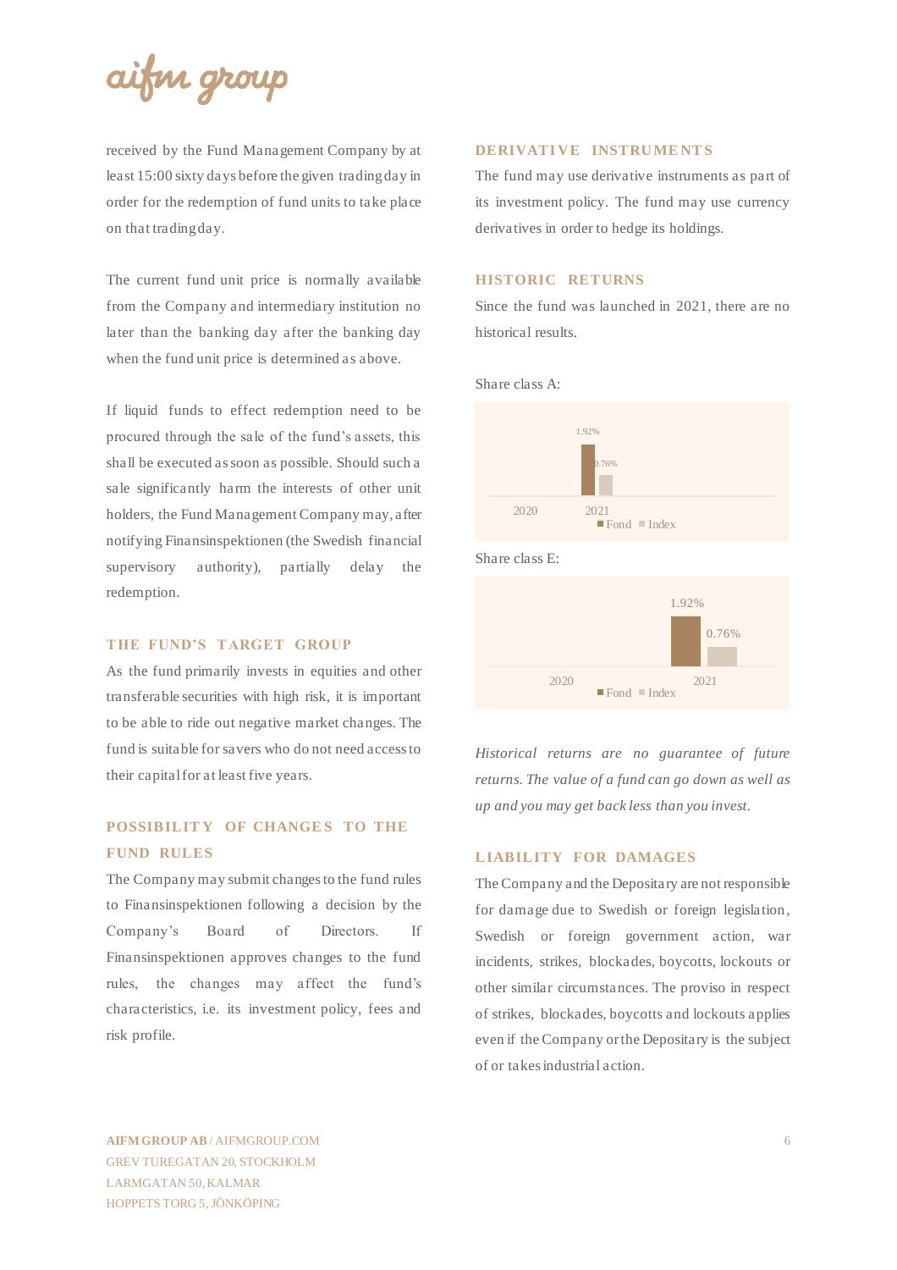

received by the Fund Management Company by at least 15:00 sixty days before the given trading day in order for the redemption of fund units to take place on that trading day.

The current fund unit price is normally available from the Company and intermediary institution no later than the banking day after the banking day when the fund unit price is determined as above.

If liquid funds to effect redemption need to be procured through the sale of the fund's assets, this shall be executed as soon as possible. Should such a sale significantly harm the interests of other unit holders, the Fund Management Company may, after notifying Finansinspektionen (the Swedish financial supervisory authority), partially delay the redemption.

#### **THE FUND'S TARGET GROUP**

As the fund primarily invests in equities and other transferable securities with high risk, it is important to be able to ride out negative market changes. The fund is suitable for savers who do not need access to their capital for at least five years.

## **POSSIBILITY OF CHANGES TO THE FUND RULES**

The Company may submit changes to the fund rules to Finansinspektionen following a decision by the Company's Board of Directors. If Finansinspektionen approves changes to the fund rules, the changes may affect the fund's characteristics, i.e. its investment policy, fees and risk profile.

#### **DERIVATI VE INSTRUME NT S**

The fund may use derivative instruments as part of its investment policy. The fund may use currency derivatives in order to hedge its holdings.

#### **HISTORIC RETURNS**

Since the fund was launched in 2021, there are no historical results.

Share class A:



Share class E:



*Historical returns are no guarantee of future returns. The value of a fund can go down as well as up and you may get back less than you invest.*

#### **LIABILITY FOR DAMAGES**

The Company and the Depositary are not responsible for damage due to Swedish or foreign legislation, Swedish or foreign government action, war incidents, strikes, blockades, boycotts, lockouts or other similar circumstances. The proviso in respect of strikes, blockades, boycotts and lockouts applies even if the Company or the Depositary is the subject of or takes industrial action.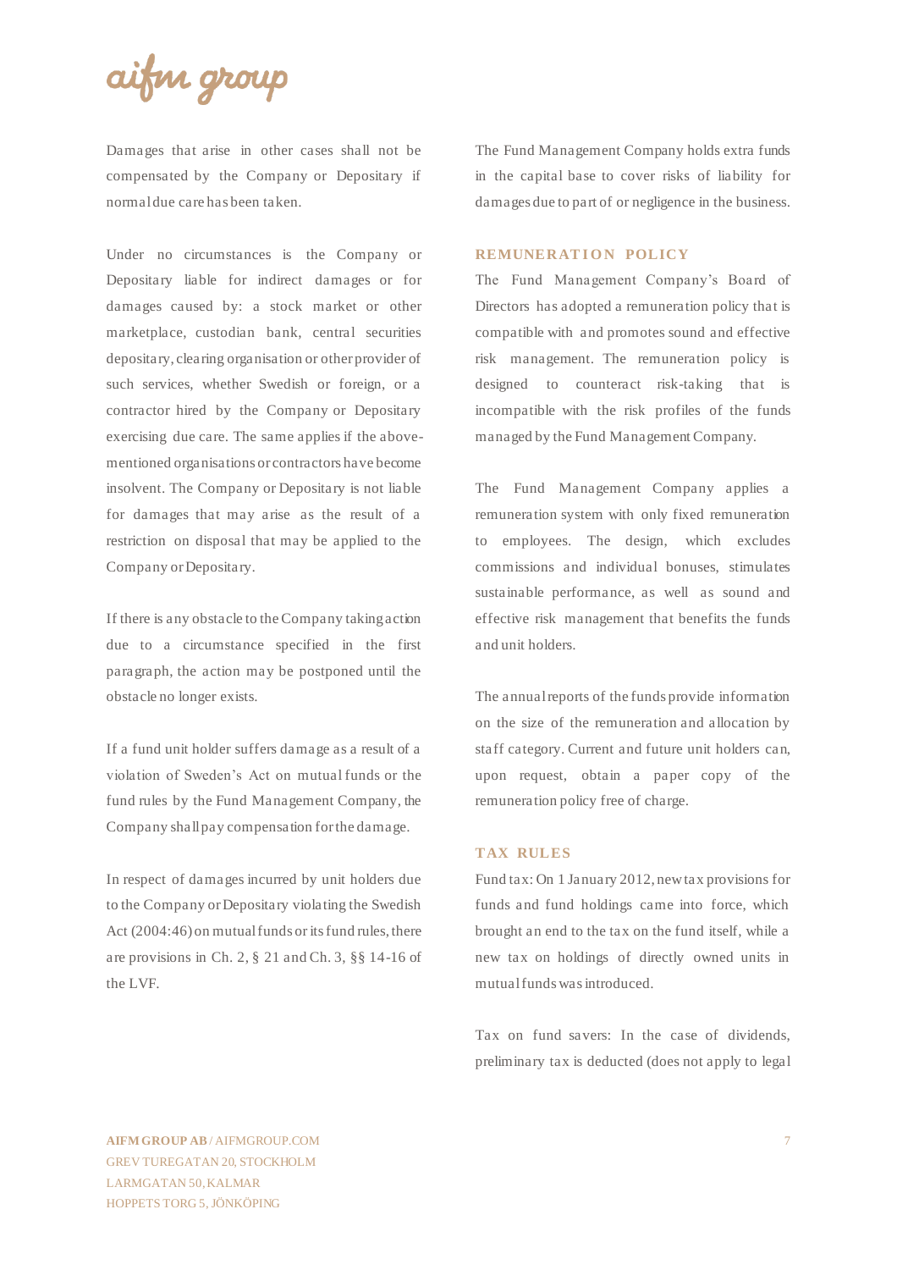## aifin group

Damages that arise in other cases shall not be compensated by the Company or Depositary if normal due care has been taken.

Under no circumstances is the Company or Depositary liable for indirect damages or for damages caused by: a stock market or other marketplace, custodian bank, central securities depositary, clearing organisation or other provider of such services, whether Swedish or foreign, or a contractor hired by the Company or Depositary exercising due care. The same applies if the abovementioned organisations or contractors have become insolvent. The Company or Depositary is not liable for damages that may arise as the result of a restriction on disposal that may be applied to the Company or Depositary.

If there is any obstacle to the Company taking action due to a circumstance specified in the first paragraph, the action may be postponed until the obstacle no longer exists.

If a fund unit holder suffers damage as a result of a violation of Sweden's Act on mutual funds or the fund rules by the Fund Management Company, the Company shall pay compensation for the damage.

In respect of damages incurred by unit holders due to the Company or Depositary violating the Swedish Act (2004:46) on mutual funds or its fund rules, there are provisions in Ch. 2, § 21 and Ch. 3, §§ 14-16 of the LVF.

The Fund Management Company holds extra funds in the capital base to cover risks of liability for damages due to part of or negligence in the business.

#### **REMUNERATION POLICY**

The Fund Management Company's Board of Directors has adopted a remuneration policy that is compatible with and promotes sound and effective risk management. The remuneration policy is designed to counteract risk-taking that is incompatible with the risk profiles of the funds managed by the Fund Management Company.

The Fund Management Company applies a remuneration system with only fixed remuneration to employees. The design, which excludes commissions and individual bonuses, stimulates sustainable performance, as well as sound and effective risk management that benefits the funds and unit holders.

The annual reports of the funds provide information on the size of the remuneration and allocation by staff category. Current and future unit holders can, upon request, obtain a paper copy of the remuneration policy free of charge.

#### **TAX RULES**

Fund tax: On 1 January 2012, new tax provisions for funds and fund holdings came into force, which brought an end to the tax on the fund itself, while a new tax on holdings of directly owned units in mutual funds was introduced.

Tax on fund savers: In the case of dividends, preliminary tax is deducted (does not apply to legal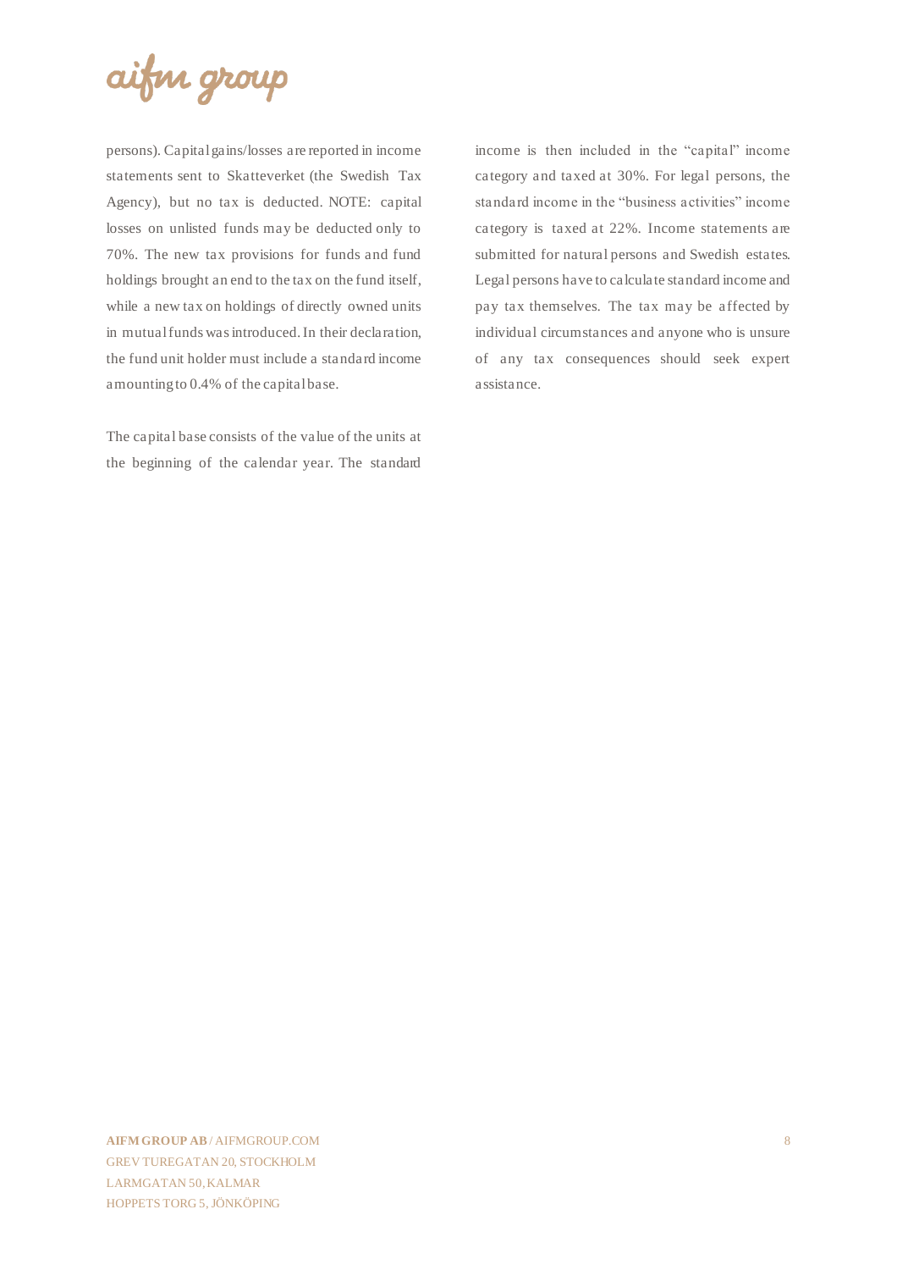

persons). Capital gains/losses are reported in income statements sent to Skatteverket (the Swedish Tax Agency), but no tax is deducted. NOTE: capital losses on unlisted funds may be deducted only to 70%. The new tax provisions for funds and fund holdings brought an end to the tax on the fund itself, while a new tax on holdings of directly owned units in mutual funds was introduced. In their declaration, the fund unit holder must include a standard income amounting to 0.4% of the capital base.

The capital base consists of the value of the units at the beginning of the calendar year. The standard

income is then included in the "capital" income category and taxed at 30%. For legal persons, the standard income in the "business activities" income category is taxed at 22%. Income statements are submitted for natural persons and Swedish estates. Legal persons have to calculate standard income and pay tax themselves. The tax may be affected by individual circumstances and anyone who is unsure of any tax consequences should seek expert assistance.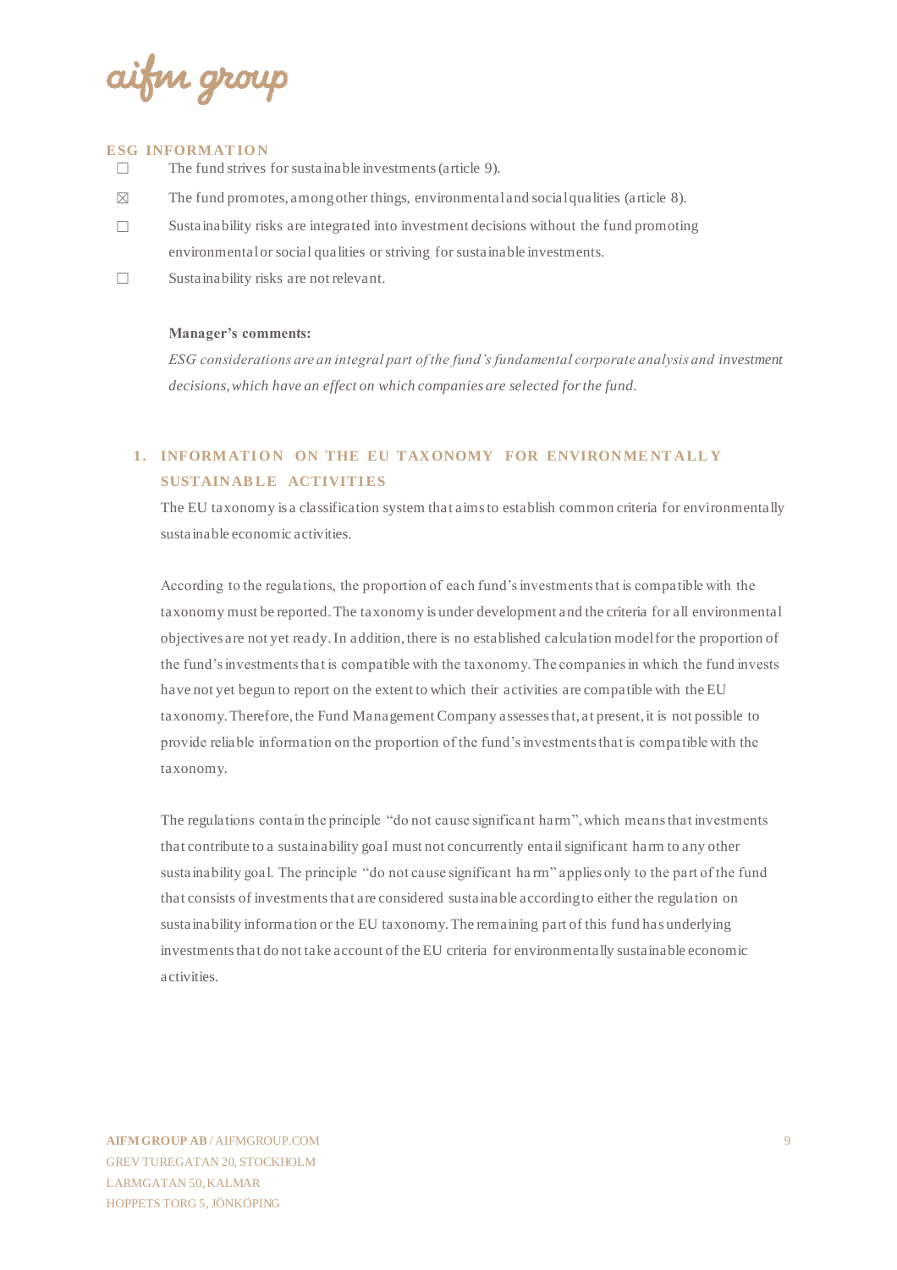ifin group

#### **ESG INFORM AT IO N**

- $\Box$  The fund strives for sustainable investments (article 9).
- $\boxtimes$  The fund promotes, among other things, environmental and social qualities (article 8).
- $\Box$  Sustainability risks are integrated into investment decisions without the fund promoting environmental or social qualities or striving for sustainable investments.
- ☐ Sustainability risks are not relevant.

#### **Manager's comments:**

*ESG considerations are an integral part of the fund's fundamental corporate analysis and investment decisions, which have an effect on which companies are selected for the fund.*

## **1. INFORMATION ON THE EU TAXONOMY FOR ENVIRONMENTALLY SUSTAINABLE ACTIVITIES**

The EU taxonomy is a classification system that aims to establish common criteria for environmentally sustainable economic activities.

According to the regulations, the proportion of each fund's investments that is compatible with the taxonomy must be reported. The taxonomy is under development and the criteria for all environmental objectives are not yet ready. In addition, there is no established calculation model for the proportion of the fund's investments that is compatible with the taxonomy. The companies in which the fund invests have not yet begun to report on the extent to which their activities are compatible with the EU taxonomy. Therefore, the Fund Management Company assesses that, at present, it is not possible to provide reliable information on the proportion of the fund's investments that is compatible with the taxonomy.

The regulations contain the principle "do not cause significant harm", which means that investments that contribute to a sustainability goal must not concurrently entail significant harm to any other sustainability goal. The principle "do not cause significant ha rm" applies only to the part of the fund that consists of investments that are considered sustainable according to either the regulation on sustainability information or the EU taxonomy. The remaining part of this fund has underlying investments that do not take account of the EU criteria for environmentally sustainable economic activities.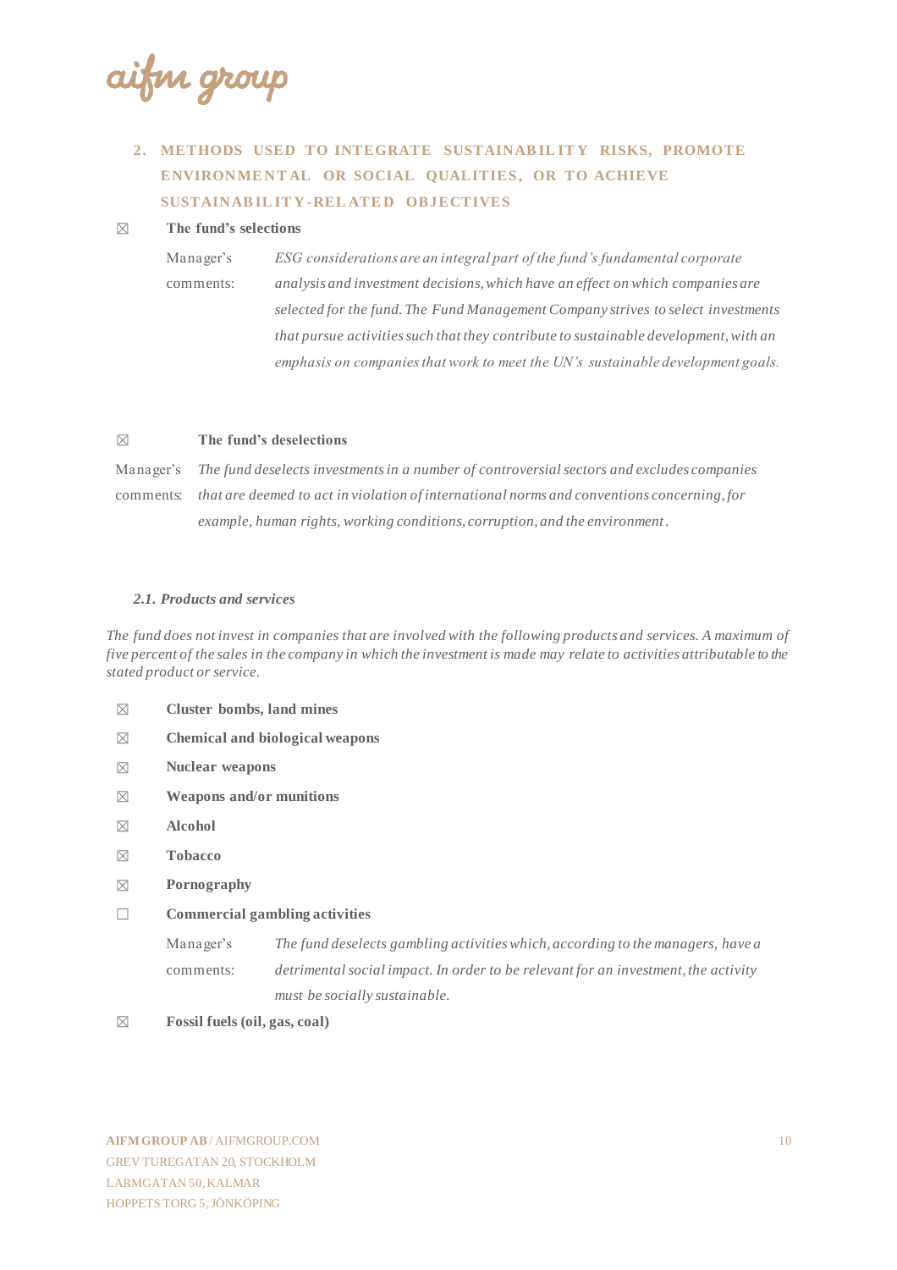aifin group

## **2. METHODS USED TO INTEGRATE SUSTAINAB IL IT Y RISKS, PROMOTE**  ENVIRONMENTAL OR SOCIAL QUALITIES, OR TO ACHIEVE **SUSTAINAB IL IT Y -REL ATE D OBJECTIVES**

#### ☒ **The fund's selections**

Manager's comments: *ESG considerations are an integral part of the fund's fundamental corporate analysis and investment decisions, which have an effect on which companies are selected for the fund. The Fund Management Company strives to select investments that pursue activities such that they contribute to sustainable development, with an emphasis on companies that work to meet the UN's sustainable development goals.*

#### ☒ **The fund's deselections**

Manager's comments: *that are deemed to act in violation of international norms and conventions concerning, for The fund deselects investments in a number of controversial sectors and excludes companies example, human rights, working conditions, corruption, and the environment.* 

#### *2.1. Products and services*

*The fund does not invest in companies that are involved with the following products and services. A maximum of five percent of the sales in the company in which the investment is made may relate to activities attributable to the stated product or service.*

- ☒ **Cluster bombs, land mines**
- ☒ **Chemical and biological weapons**
- ☒ **Nuclear weapons**
- ☒ **Weapons and/or munitions**
- ☒ **Alcohol**
- ☒ **Tobacco**
- ☒ **Pornography**
- ☐ **Commercial gambling activities**

| Manager's | The fund deselects gambling activities which, according to the managers, have a    |
|-----------|------------------------------------------------------------------------------------|
| comments: | detrimental social impact. In order to be relevant for an investment, the activity |
|           | must be socially sustainable.                                                      |

☒ **Fossil fuels (oil, gas, coal)**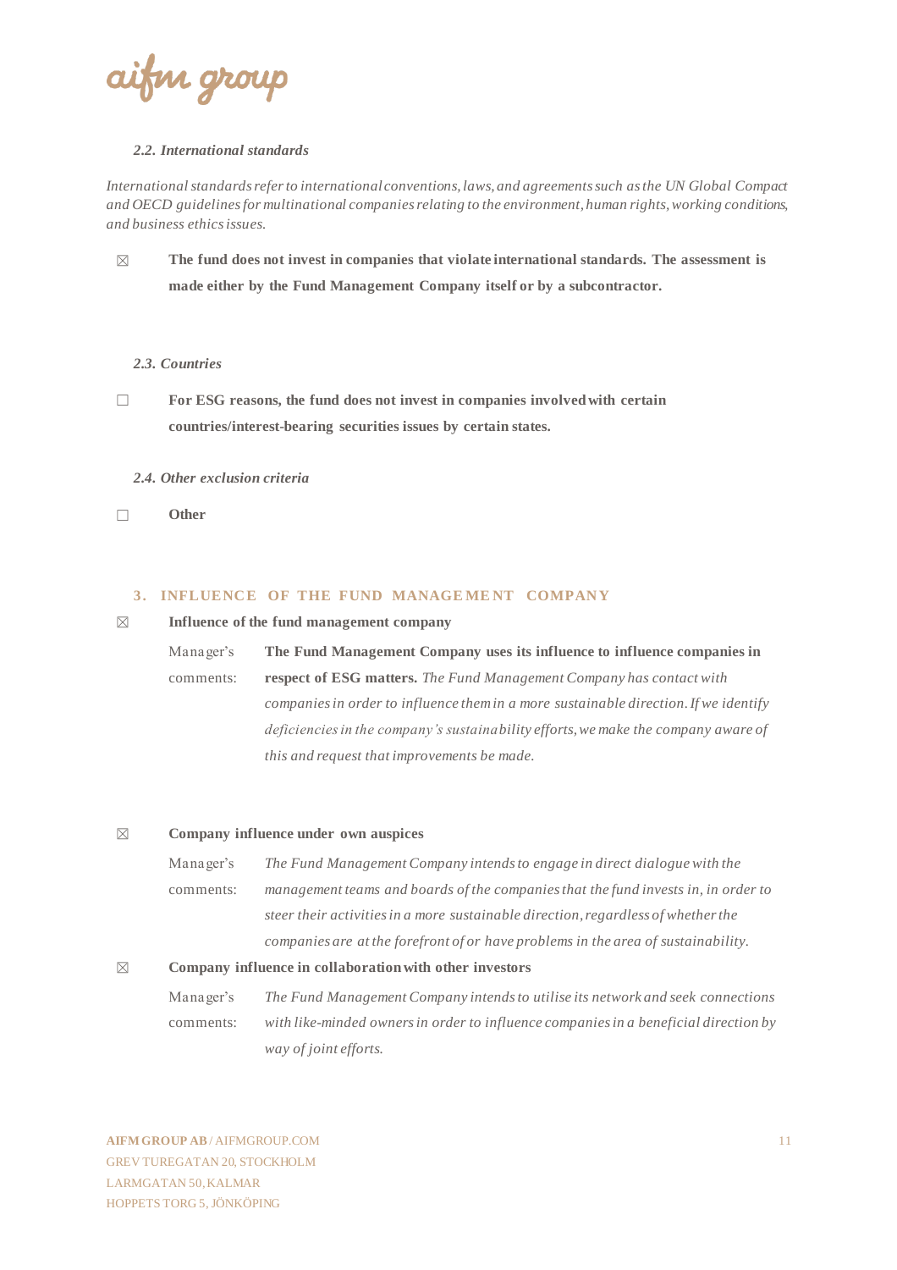ifin group

#### *2.2. International standards*

*International standards refer to international conventions, laws, and agreements such as the UN Global Compact and OECD guidelines for multinational companies relating to the environment, human rights, working conditions, and business ethics issues.*

☒ **The fund does not invest in companies that violate international standards. The assessment is made either by the Fund Management Company itself or by a subcontractor.**

#### *2.3. Countries*

☐ **For ESG reasons, the fund does not invest in companies involved with certain countries/interest-bearing securities issues by certain states.**

#### *2.4. Other exclusion criteria*

☐ **Other**

#### **3. INFLUENCE OF THE FUND MANAGEMENT COMPANY**

#### ☒ **Influence of the fund management company**

Manager's comments: **The Fund Management Company uses its influence to influence companies in respect of ESG matters.** *The Fund Management Company has contact with companies in order to influence them in a more sustainable direction. If we identify deficiencies in the company's sustainability efforts, we make the company aware of this and request that improvements be made.*

#### ☒ **Company influence under own auspices**

Manager's comments: *The Fund Management Company intends to engage in direct dialogue with the management teams and boards of the companies that the fund invests in, in order to steer their activities in a more sustainable direction, regardless of whether the companies are at the forefront of or have problems in the area of sustainability.*

#### ☒ **Company influence in collaboration with other investors**

Manager's comments: *The Fund Management Company intends to utilise its network and seek connections with like-minded owners in order to influence companies in a beneficial direction by way of joint efforts.*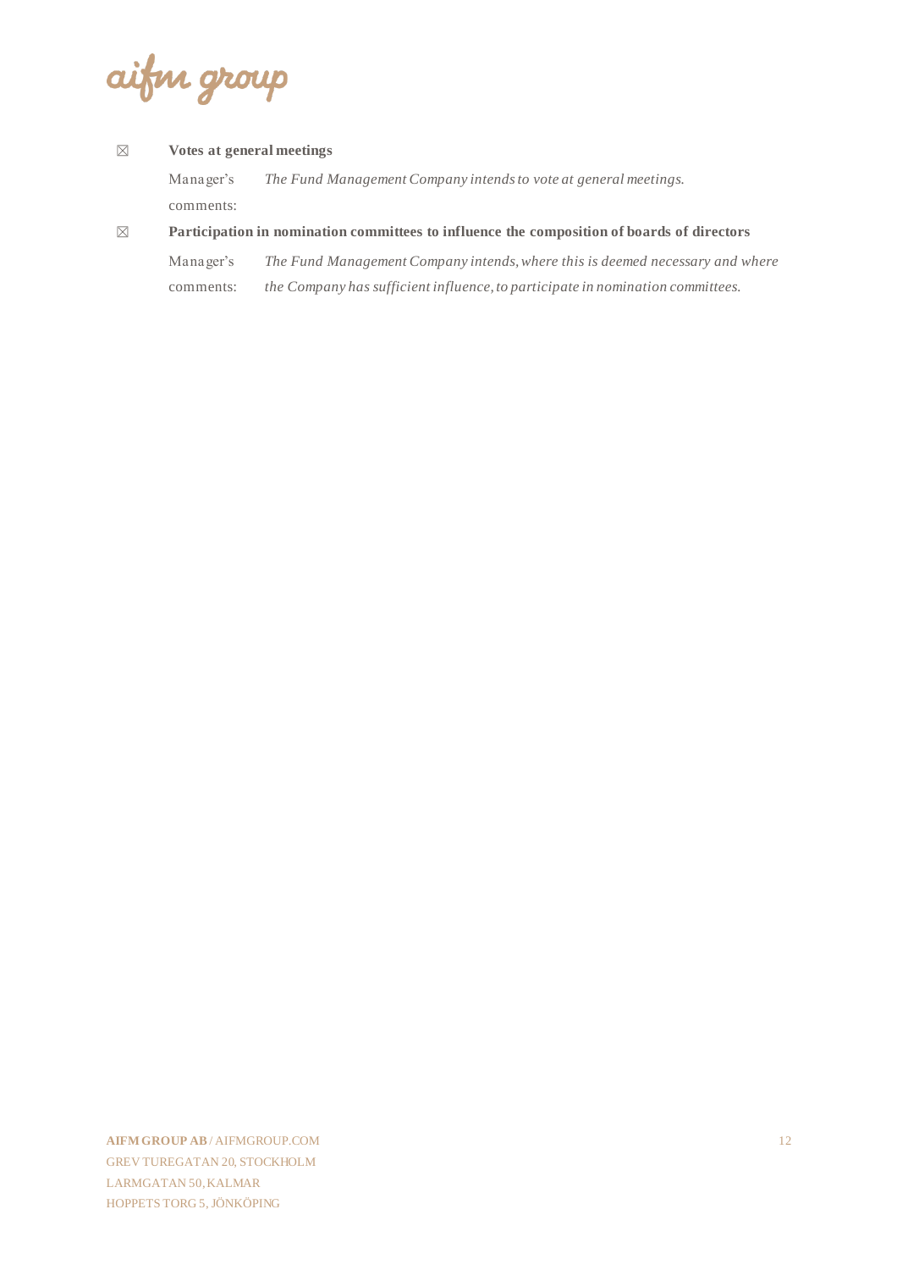aifin group

#### ☒ **Votes at general meetings**

Manager's comments: *The Fund Management Company intends to vote at general meetings.*

#### ☒ **Participation in nomination committees to influence the composition of boards of directors**

Manager's comments: *The Fund Management Company intends, where this is deemed necessary and where the Company has sufficient influence, to participate in nomination committees.*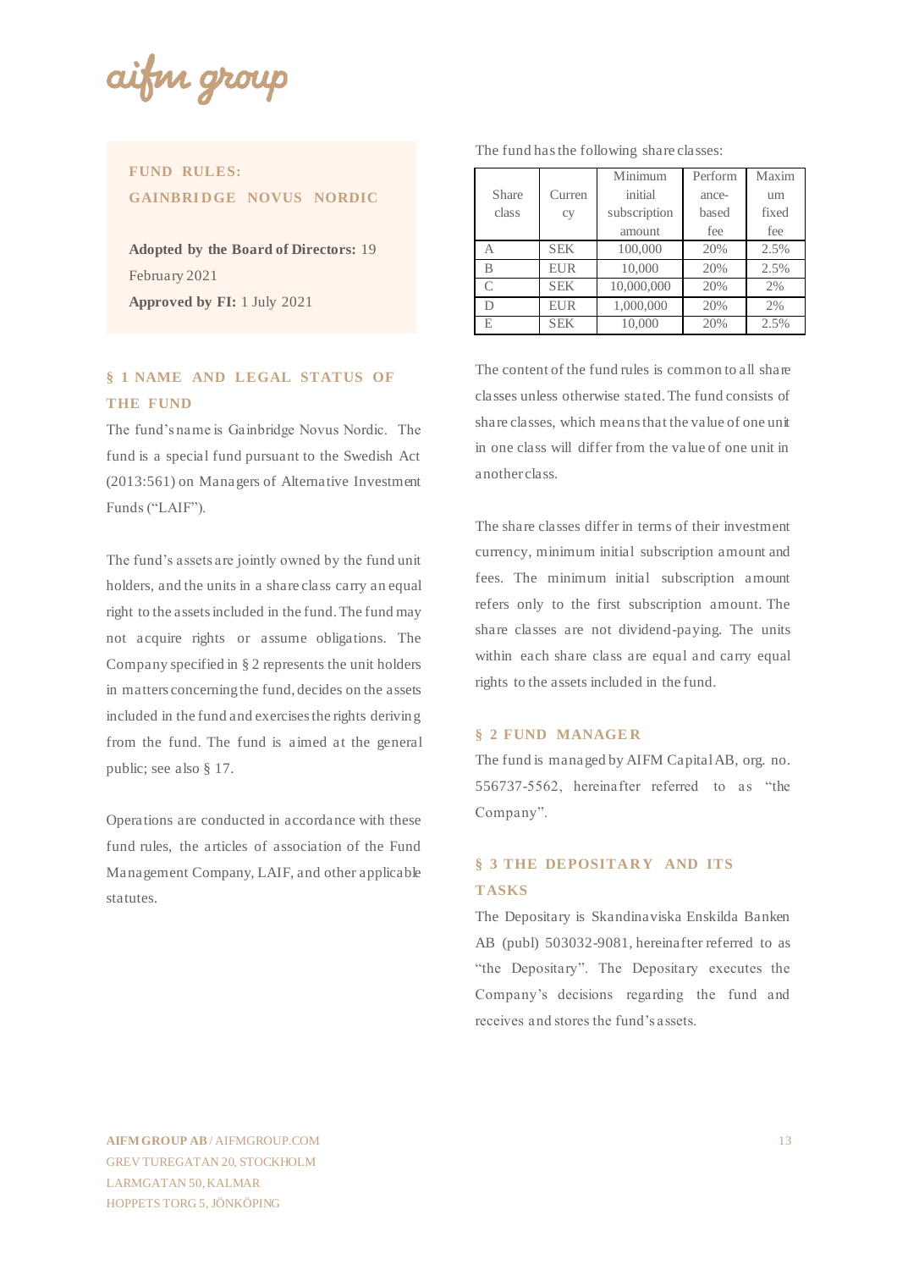ifin groi

## **FUND RULES: GAINBRIDGE NOVUS NORDIC**

**Adopted by the Board of Directors:** 19 February 2021 **Approved by FI:** 1 July 2021

## **§ 1 NAME AND LEGAL STATUS OF THE FUND**

The fund's name is Gainbridge Novus Nordic. The fund is a special fund pursuant to the Swedish Act (2013:561) on Managers of Alternative Investment Funds ("LAIF").

The fund's assets are jointly owned by the fund unit holders, and the units in a share class carry an equal right to the assets included in the fund. The fund may not acquire rights or assume obligations. The Company specified in § 2 represents the unit holders in matters concerning the fund, decides on the assets included in the fund and exercises the rights deriving from the fund. The fund is aimed at the general public; see also § 17.

Operations are conducted in accordance with these fund rules, the articles of association of the Fund Management Company, LAIF, and other applicable statutes.

|             |            | Minimum      | Perform | Maxim |  |
|-------------|------------|--------------|---------|-------|--|
| Share       | Curren     | initial      | ance-   | um    |  |
| class<br>cy |            | subscription | based   | fixed |  |
|             |            | amount       | fee     | fee   |  |
|             | <b>SEK</b> | 100,000      | 20%     | 2.5%  |  |
|             | <b>EUR</b> | 10,000       | 20%     | 2.5%  |  |
|             | <b>SEK</b> | 10,000,000   | 20%     | 2%    |  |

D EUR 1,000,000 20% 2% E SEK 10,000 20% 2.5%

The fund has the following share classes:

The content of the fund rules is common to all share classes unless otherwise stated. The fund consists of share classes, which means that the value of one unit in one class will differ from the value of one unit in another class.

The share classes differ in terms of their investment currency, minimum initial subscription amount and fees. The minimum initial subscription amount refers only to the first subscription amount. The share classes are not dividend-paying. The units within each share class are equal and carry equal rights to the assets included in the fund.

#### **§ 2 FUND MANAGE R**

The fund is managed by AIFM Capital AB, org. no. 556737-5562, hereinafter referred to as "the Company".

## **§ 3 THE DEPOSITARY AND ITS TASKS**

The Depositary is Skandinaviska Enskilda Banken AB (publ) 503032-9081, hereinafter referred to as "the Depositary". The Depositary executes the Company's decisions regarding the fund and receives and stores the fund's assets.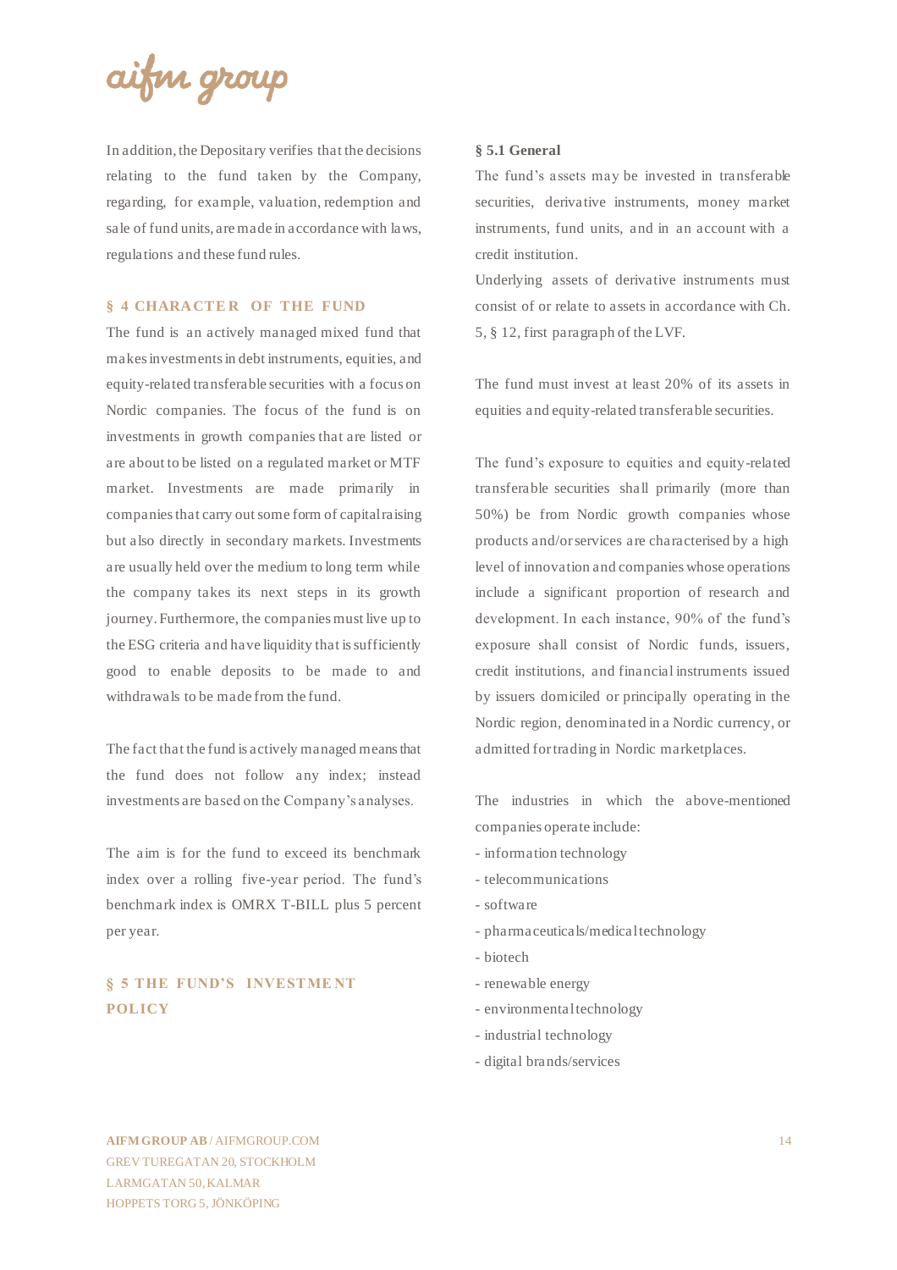

In addition, the Depositary verifies that the decisions relating to the fund taken by the Company, regarding, for example, valuation, redemption and sale of fund units, are made in accordance with laws, regulations and these fund rules.

#### **§ 4 CHARACTER OF THE FUND**

The fund is an actively managed mixed fund that makes investments in debt instruments, equities, and equity-related transferable securities with a focus on Nordic companies. The focus of the fund is on investments in growth companies that are listed or are about to be listed on a regulated market or MTF market. Investments are made primarily in companies that carry out some form of capital raising but also directly in secondary markets. Investments are usually held over the medium to long term while the company takes its next steps in its growth journey. Furthermore, the companies must live up to the ESG criteria and have liquidity that is sufficiently good to enable deposits to be made to and withdrawals to be made from the fund.

The fact that the fund is actively managed means that the fund does not follow any index; instead investments are based on the Company's analyses.

The aim is for the fund to exceed its benchmark index over a rolling five-year period. The fund's benchmark index is OMRX T-BILL plus 5 percent per year.

## **§ 5 THE FUND'S INVESTME NT POLICY**

#### **§ 5.1 General**

The fund's assets may be invested in transferable securities, derivative instruments, money market instruments, fund units, and in an account with a credit institution.

Underlying assets of derivative instruments must consist of or relate to assets in accordance with Ch. 5, § 12, first paragraph of the LVF.

The fund must invest at least 20% of its assets in equities and equity-related transferable securities.

The fund's exposure to equities and equity-related transferable securities shall primarily (more than 50%) be from Nordic growth companies whose products and/or services are characterised by a high level of innovation and companies whose operations include a significant proportion of research and development. In each instance, 90% of the fund's exposure shall consist of Nordic funds, issuers, credit institutions, and financial instruments issued by issuers domiciled or principally operating in the Nordic region, denominated in a Nordic currency, or admitted for trading in Nordic marketplaces.

The industries in which the above-mentioned companies operate include:

- information technology
- telecommunications
- software
- pharmaceuticals/medical technology
- biotech
- renewable energy
- environmental technology
- industrial technology
- digital brands/services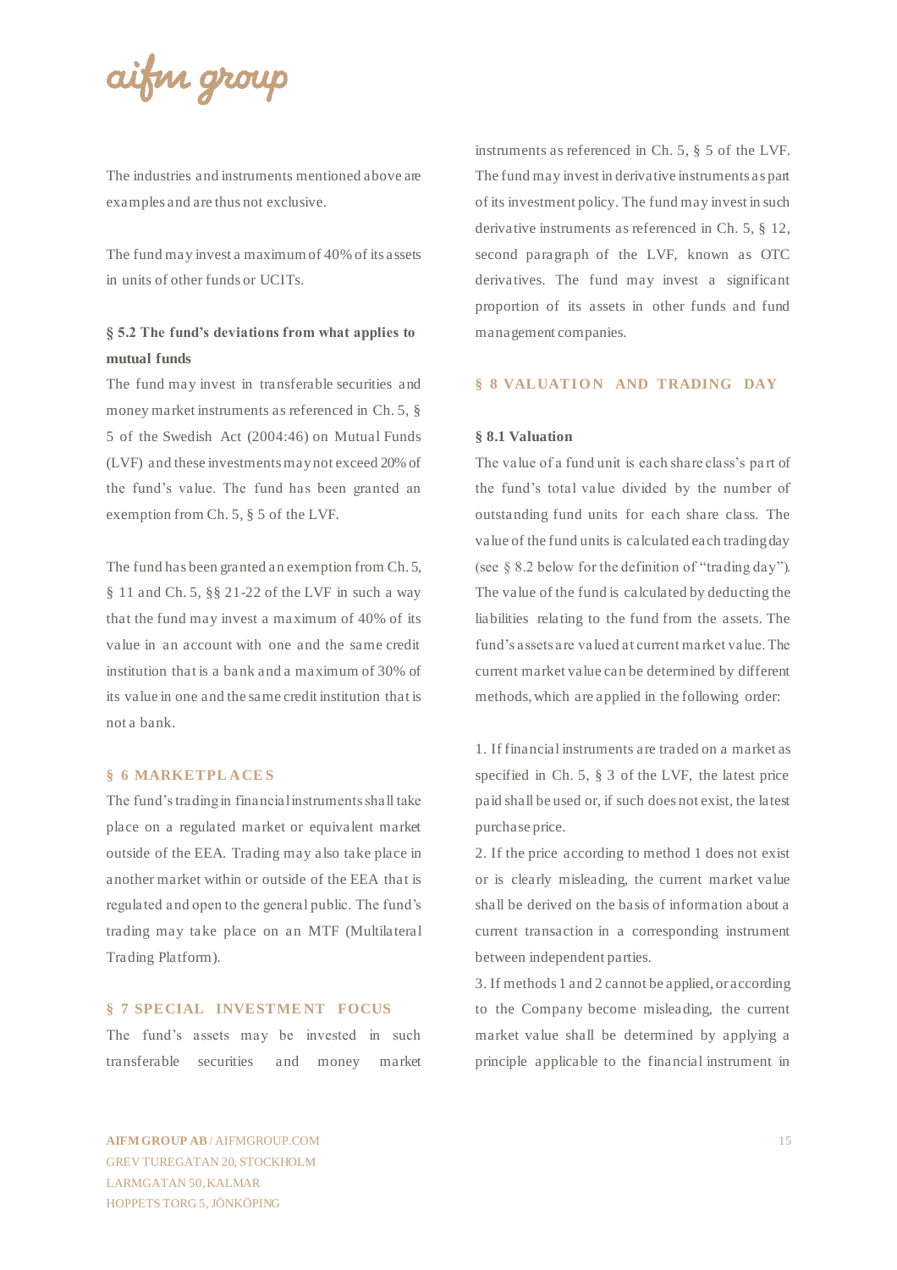aifin group

The industries and instruments mentioned above are examples and are thus not exclusive.

The fund may invest a maximum of 40% of its assets in units of other funds or UCITs.

### **§ 5.2 The fund's deviations from what applies to mutual funds**

The fund may invest in transferable securities and money market instruments as referenced in Ch. 5, § 5 of the Swedish Act (2004:46) on Mutual Funds (LVF) and these investments may not exceed 20% of the fund's value. The fund has been granted an exemption from Ch. 5, § 5 of the LVF.

The fund has been granted an exemption from Ch. 5, § 11 and Ch. 5, §§ 21-22 of the LVF in such a way that the fund may invest a maximum of 40% of its value in an account with one and the same credit institution that is a bank and a maximum of 30% of its value in one and the same credit institution that is not a bank.

#### **§ 6 MARKETPL ACE S**

The fund's trading in financial instruments shall take place on a regulated market or equivalent market outside of the EEA. Trading may also take place in another market within or outside of the EEA that is regulated and open to the general public. The fund's trading may take place on an MTF (Multilateral Trading Platform).

#### **§ 7 SPECIAL INVESTME NT FOCUS**

The fund's assets may be invested in such transferable securities and money market instruments as referenced in Ch. 5, § 5 of the LVF. The fund may invest in derivative instruments as part of its investment policy. The fund may invest in such derivative instruments as referenced in Ch. 5, § 12, second paragraph of the LVF, known as OTC derivatives. The fund may invest a significant proportion of its assets in other funds and fund management companies.

#### **§ 8 VALUATION AND TRADING DAY**

#### **§ 8.1 Valuation**

The value of a fund unit is each share class's pa rt of the fund's total value divided by the number of outstanding fund units for each share class. The value of the fund units is calculated each trading day (see § 8.2 below for the definition of "trading day"). The value of the fund is calculated by deducting the liabilities relating to the fund from the assets. The fund's assets are valued at current market value. The current market value can be determined by different methods, which are applied in the following order:

1. If financial instruments are traded on a market as specified in Ch. 5, § 3 of the LVF, the latest price paid shall be used or, if such does not exist, the latest purchase price.

2. If the price according to method 1 does not exist or is clearly misleading, the current market value shall be derived on the basis of information about a current transaction in a corresponding instrument between independent parties.

3. If methods 1 and 2 cannot be applied, or according to the Company become misleading, the current market value shall be determined by applying a principle applicable to the financial instrument in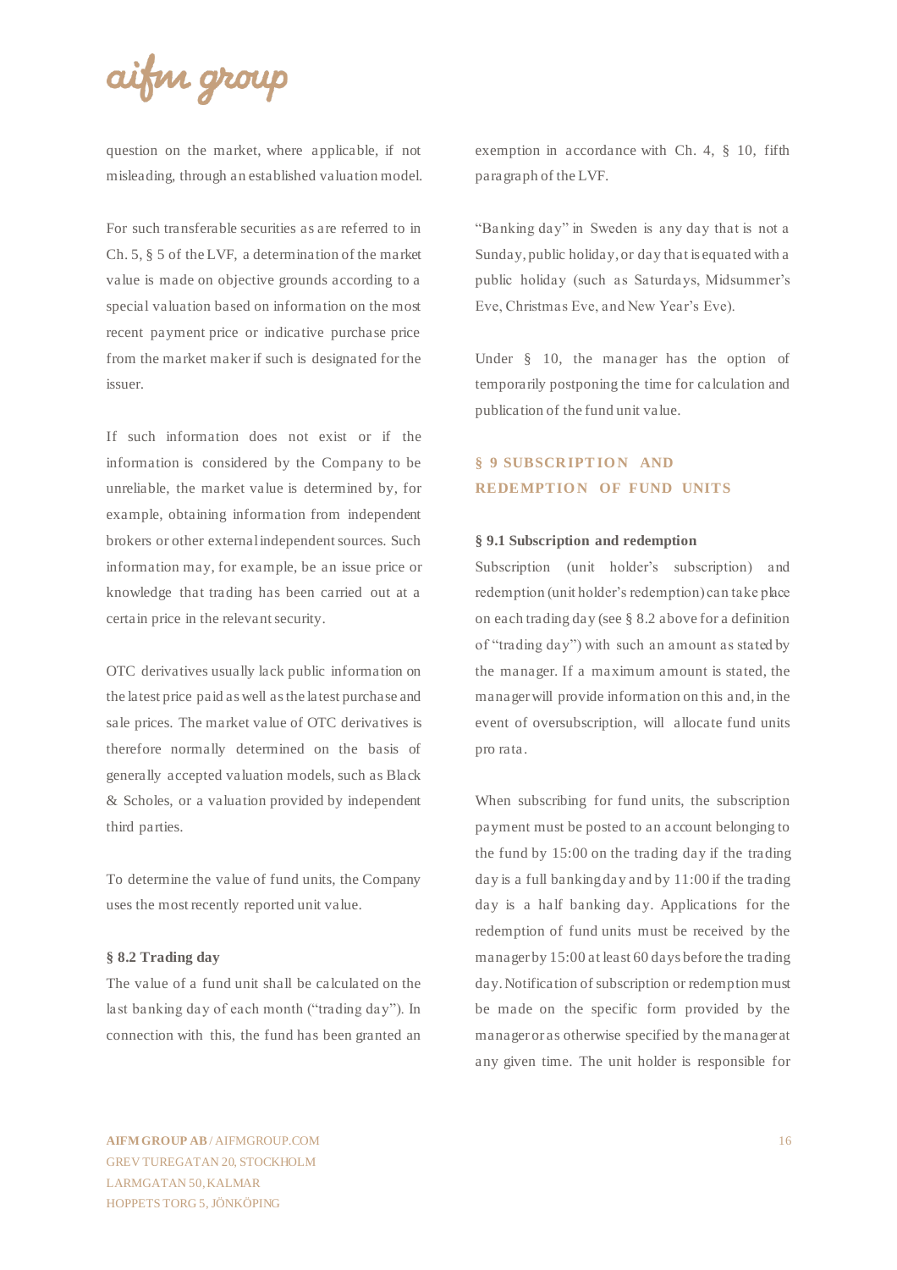## aifin group

question on the market, where applicable, if not misleading, through an established valuation model.

For such transferable securities as are referred to in Ch. 5, § 5 of the LVF, a determination of the market value is made on objective grounds according to a special valuation based on information on the most recent payment price or indicative purchase price from the market maker if such is designated for the issuer.

If such information does not exist or if the information is considered by the Company to be unreliable, the market value is determined by, for example, obtaining information from independent brokers or other external independent sources. Such information may, for example, be an issue price or knowledge that trading has been carried out at a certain price in the relevant security.

OTC derivatives usually lack public information on the latest price paid as well as the latest purchase and sale prices. The market value of OTC derivatives is therefore normally determined on the basis of generally accepted valuation models, such as Black & Scholes, or a valuation provided by independent third parties.

To determine the value of fund units, the Company uses the most recently reported unit value.

#### **§ 8.2 Trading day**

The value of a fund unit shall be calculated on the last banking day of each month ("trading day"). In connection with this, the fund has been granted an exemption in accordance with Ch. 4, § 10, fifth paragraph of the LVF.

"Banking day" in Sweden is any day that is not a Sunday, public holiday, or day that is equated with a public holiday (such as Saturdays, Midsummer's Eve, Christmas Eve, and New Year's Eve).

Under § 10, the manager has the option of temporarily postponing the time for calculation and publication of the fund unit value.

## **§ 9 SUBSCRIPTION AND REDEMPTION OF FUND UNITS**

#### **§ 9.1 Subscription and redemption**

Subscription (unit holder's subscription) and redemption (unit holder's redemption) can take place on each trading day (see § 8.2 above for a definition of "trading day") with such an amount as stated by the manager. If a maximum amount is stated, the manager will provide information on this and, in the event of oversubscription, will allocate fund units pro rata.

When subscribing for fund units, the subscription payment must be posted to an account belonging to the fund by 15:00 on the trading day if the trading day is a full banking day and by 11:00 if the trading day is a half banking day. Applications for the redemption of fund units must be received by the manager by 15:00 at least 60 days before the trading day. Notification of subscription or redemption must be made on the specific form provided by the manager or as otherwise specified by the manager at any given time. The unit holder is responsible for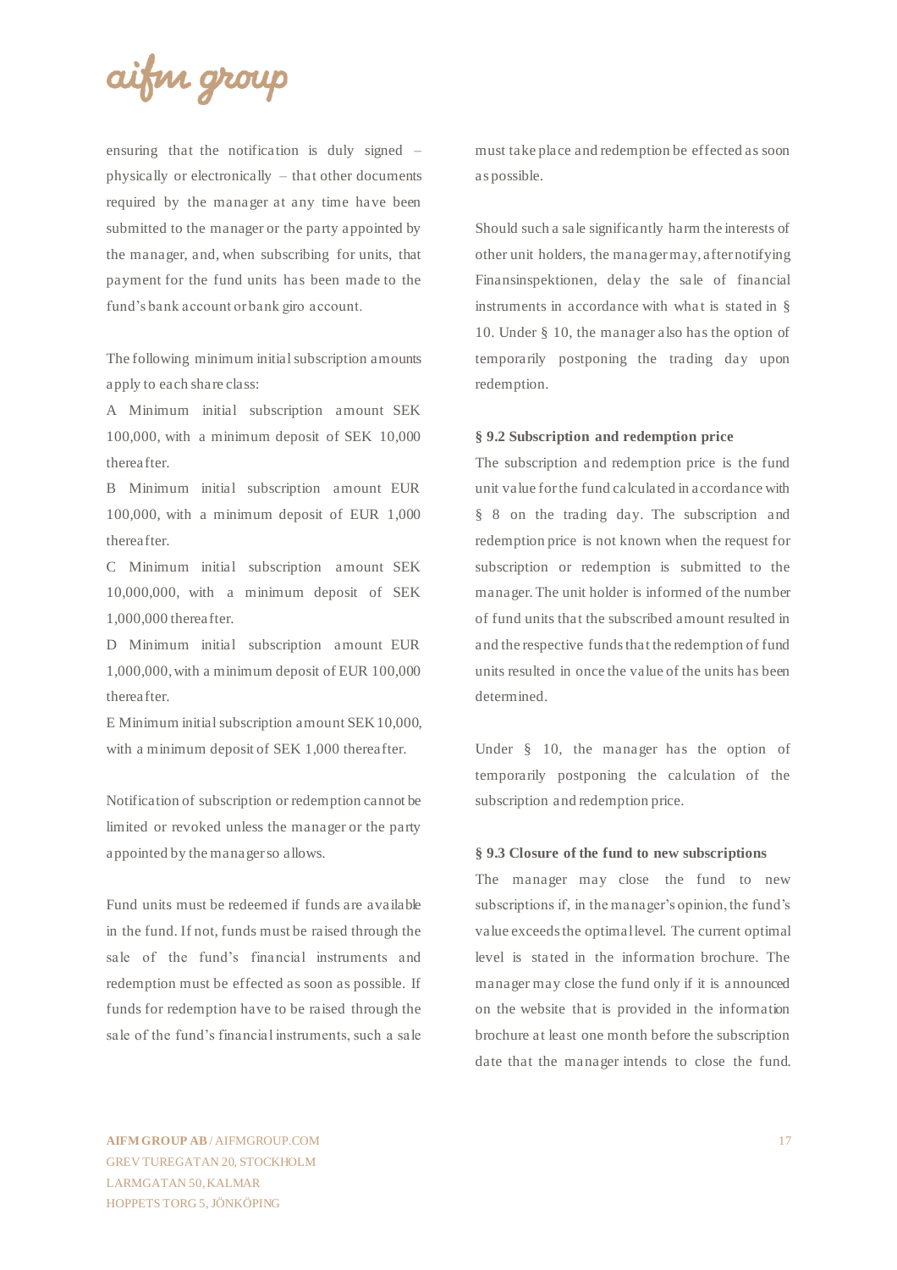

ensuring that the notification is duly signed – physically or electronically – that other documents required by the manager at any time have been submitted to the manager or the party appointed by the manager, and, when subscribing for units, that payment for the fund units has been made to the fund's bank account or bank giro account.

The following minimum initial subscription amounts apply to each share class:

A Minimum initial subscription amount SEK 100,000, with a minimum deposit of SEK 10,000 thereafter.

B Minimum initial subscription amount EUR 100,000, with a minimum deposit of EUR 1,000 thereafter.

C Minimum initial subscription amount SEK 10,000,000, with a minimum deposit of SEK 1,000,000 thereafter.

D Minimum initial subscription amount EUR 1,000,000, with a minimum deposit of EUR 100,000 thereafter.

E Minimum initial subscription amount SEK 10,000, with a minimum deposit of SEK 1,000 thereafter.

Notification of subscription or redemption cannot be limited or revoked unless the manager or the party appointed by the manager so allows.

Fund units must be redeemed if funds are available in the fund. If not, funds must be raised through the sale of the fund's financial instruments and redemption must be effected as soon as possible. If funds for redemption have to be raised through the sale of the fund's financial instruments, such a sale

must take place and redemption be effected as soon as possible.

Should such a sale significantly harm the interests of other unit holders, the manager may, after notifying Finansinspektionen, delay the sale of financial instruments in accordance with what is stated in  $\S$ 10. Under § 10, the manager also has the option of temporarily postponing the trading day upon redemption.

#### **§ 9.2 Subscription and redemption price**

The subscription and redemption price is the fund unit value for the fund calculated in accordance with § 8 on the trading day. The subscription and redemption price is not known when the request for subscription or redemption is submitted to the manager. The unit holder is informed of the number of fund units that the subscribed amount resulted in and the respective funds that the redemption of fund units resulted in once the value of the units has been determined.

Under § 10, the manager has the option of temporarily postponing the calculation of the subscription and redemption price.

#### **§ 9.3 Closure of the fund to new subscriptions**

The manager may close the fund to new subscriptions if, in the manager's opinion, the fund's value exceeds the optimal level. The current optimal level is stated in the information brochure. The manager may close the fund only if it is announced on the website that is provided in the information brochure at least one month before the subscription date that the manager intends to close the fund.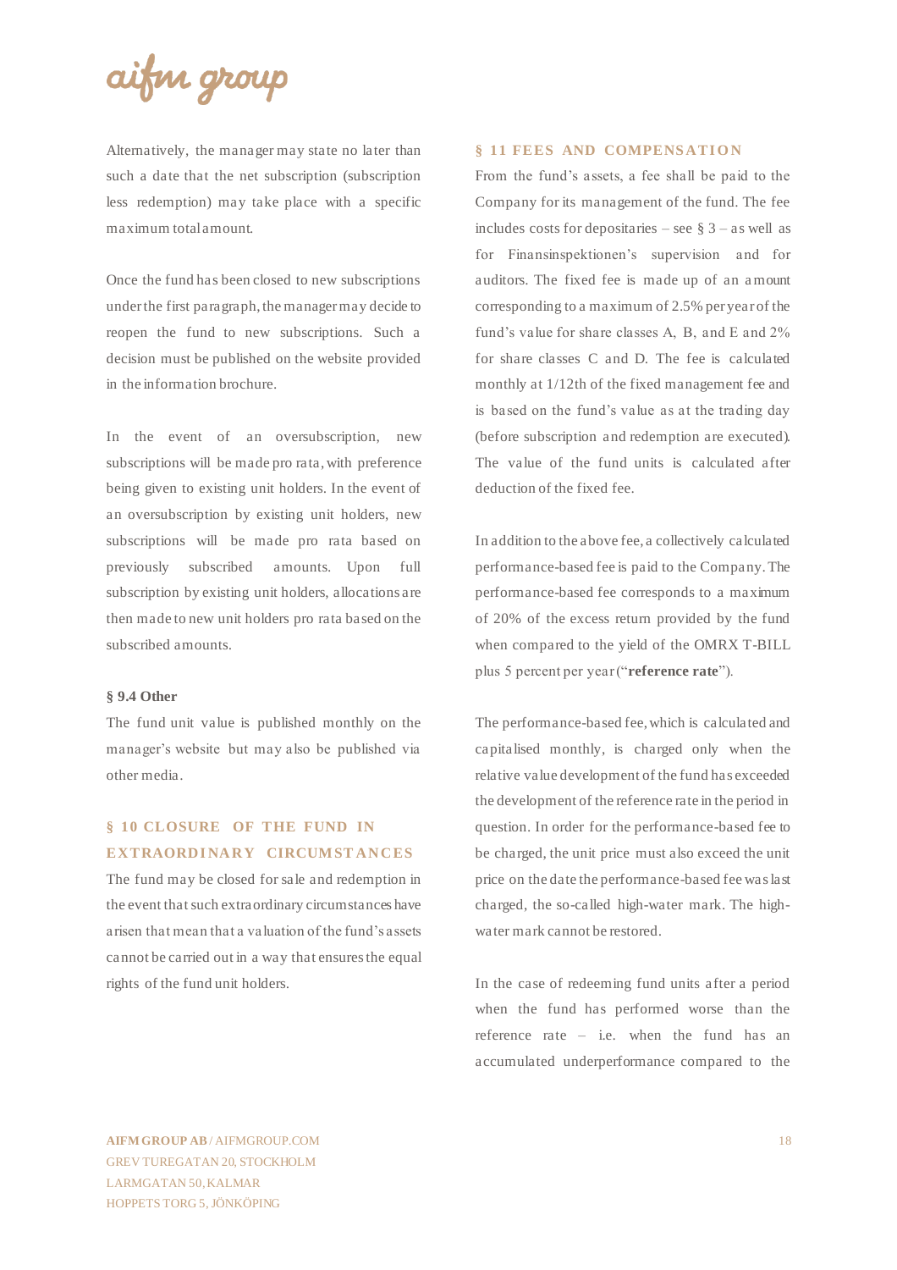## aifin group

Alternatively, the manager may state no later than such a date that the net subscription (subscription less redemption) may take place with a specific maximum total amount.

Once the fund has been closed to new subscriptions under the first paragraph, the manager may decide to reopen the fund to new subscriptions. Such a decision must be published on the website provided in the information brochure.

In the event of an oversubscription, new subscriptions will be made pro rata, with preference being given to existing unit holders. In the event of an oversubscription by existing unit holders, new subscriptions will be made pro rata based on previously subscribed amounts. Upon full subscription by existing unit holders, allocations are then made to new unit holders pro rata based on the subscribed amounts.

#### **§ 9.4 Other**

The fund unit value is published monthly on the manager's website but may also be published via other media.

## **§ 10 CLOSURE OF THE FUND IN EXTRAORDINARY CIRCUMSTANCES**

The fund may be closed for sale and redemption in the event that such extraordinary circumstances have arisen that mean that a valuation of the fund's assets cannot be carried out in a way that ensures the equal rights of the fund unit holders.

#### § 11 FEES AND **COMPENSATION**

From the fund's assets, a fee shall be paid to the Company for its management of the fund. The fee includes costs for depositaries – see  $\S$  3 – as well as for Finansinspektionen's supervision and for auditors. The fixed fee is made up of an amount corresponding to a maximum of 2.5% per year of the fund's value for share classes A, B, and E and 2% for share classes C and D. The fee is calculated monthly at 1/12th of the fixed management fee and is based on the fund's value as at the trading day (before subscription and redemption are executed). The value of the fund units is calculated after deduction of the fixed fee.

In addition to the above fee, a collectively calculated performance-based fee is paid to the Company. The performance-based fee corresponds to a maximum of 20% of the excess return provided by the fund when compared to the yield of the OMRX T-BILL plus 5 percent per year ("**reference rate**").

The performance-based fee, which is calculated and capitalised monthly, is charged only when the relative value development of the fund has exceeded the development of the reference rate in the period in question. In order for the performance-based fee to be charged, the unit price must also exceed the unit price on the date the performance-based fee was last charged, the so-called high-water mark. The highwater mark cannot be restored.

In the case of redeeming fund units after a period when the fund has performed worse than the reference rate – i.e. when the fund has an accumulated underperformance compared to the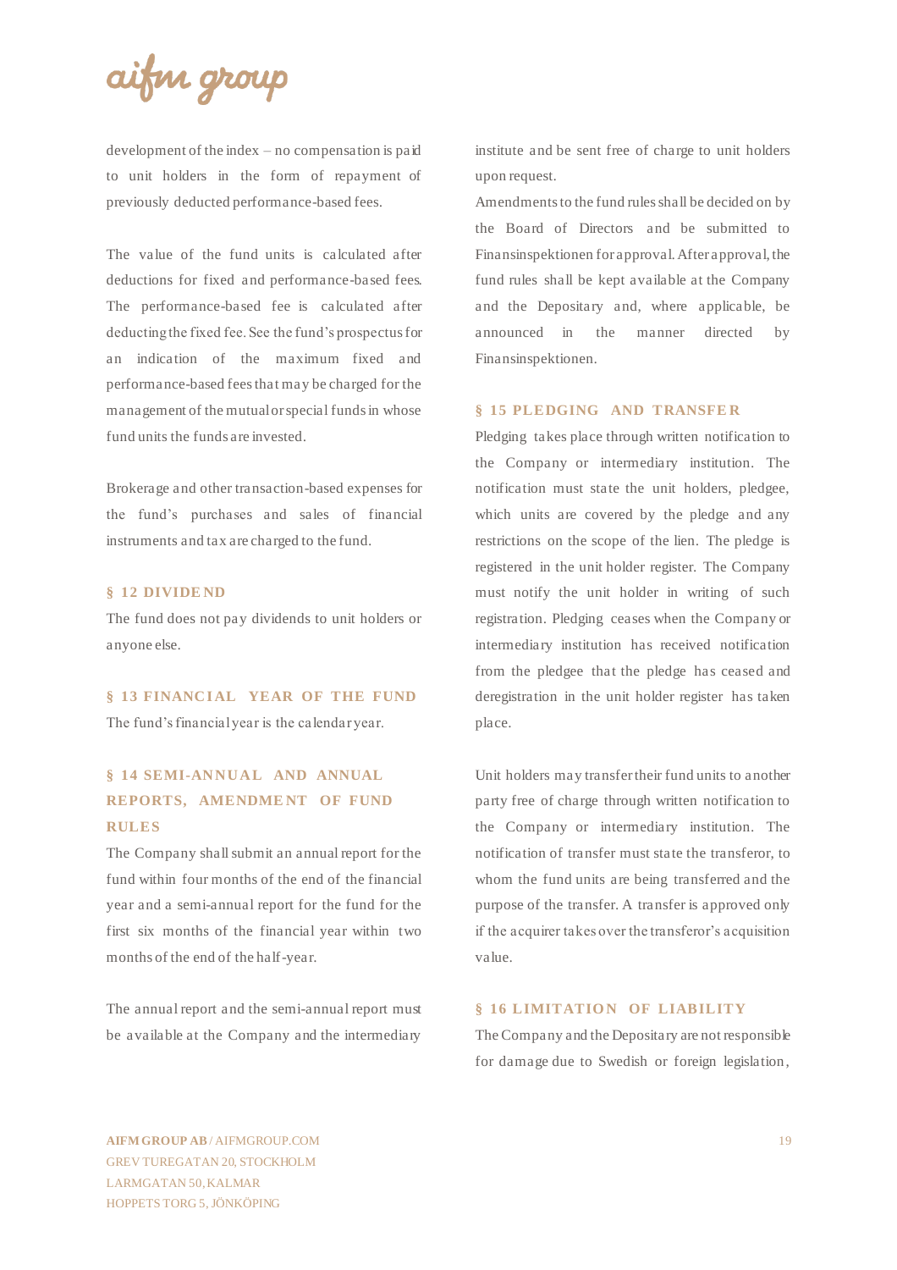aifin group

development of the index – no compensation is paid to unit holders in the form of repayment of previously deducted performance-based fees.

The value of the fund units is calculated after deductions for fixed and performance-based fees. The performance-based fee is calculated after deducting the fixed fee. See the fund's prospectus for an indication of the maximum fixed and performance-based fees that may be charged for the management of the mutual or special funds in whose fund units the funds are invested.

Brokerage and other transaction-based expenses for the fund's purchases and sales of financial instruments and tax are charged to the fund.

#### **§ 12 DIVIDE ND**

The fund does not pay dividends to unit holders or anyone else.

§ 13 FINANCIAL YEAR OF THE FUND The fund's financial year is the calendar year.

## **§ 14 SEMI-ANNUAL AND ANNUAL REPORTS, AMENDMENT OF FUND RULES**

The Company shall submit an annual report for the fund within four months of the end of the financial year and a semi-annual report for the fund for the first six months of the financial year within two months of the end of the half-year.

The annual report and the semi-annual report must be available at the Company and the intermediary

institute and be sent free of charge to unit holders upon request.

Amendments to the fund rules shall be decided on by the Board of Directors and be submitted to Finansinspektionen for approval. After approval, the fund rules shall be kept available at the Company and the Depositary and, where applicable, be announced in the manner directed by Finansinspektionen.

#### **§ 15 PLEDGING AND TRANSFE R**

Pledging takes place through written notification to the Company or intermediary institution. The notification must state the unit holders, pledgee, which units are covered by the pledge and any restrictions on the scope of the lien. The pledge is registered in the unit holder register. The Company must notify the unit holder in writing of such registration. Pledging ceases when the Company or intermediary institution has received notification from the pledgee that the pledge has ceased and deregistration in the unit holder register has taken place.

Unit holders may transfer their fund units to another party free of charge through written notification to the Company or intermediary institution. The notification of transfer must state the transferor, to whom the fund units are being transferred and the purpose of the transfer. A transfer is approved only if the acquirer takes over the transferor's acquisition value.

#### **§ 16 LIMITATION OF LIABILITY**

The Company and the Depositary are not responsible for damage due to Swedish or foreign legislation,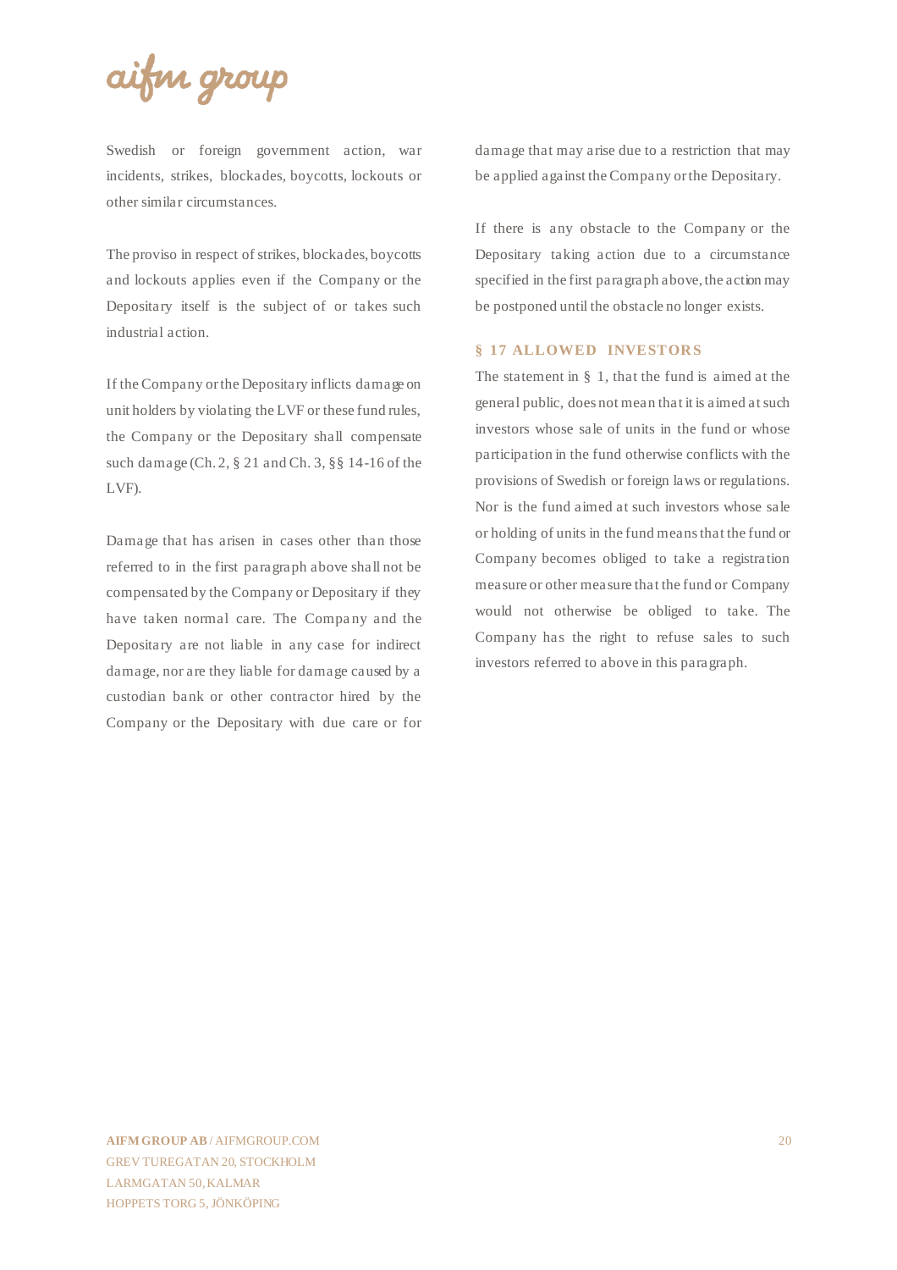

Swedish or foreign government action, war incidents, strikes, blockades, boycotts, lockouts or other similar circumstances.

The proviso in respect of strikes, blockades, boycotts and lockouts applies even if the Company or the Depositary itself is the subject of or takes such industrial action.

If the Company or the Depositary inflicts damage on unit holders by violating the LVF or these fund rules, the Company or the Depositary shall compensate such damage (Ch. 2, § 21 and Ch. 3, §§ 14-16 of the LVF).

Damage that has arisen in cases other than those referred to in the first paragraph above shall not be compensated by the Company or Depositary if they have taken normal care. The Company and the Depositary are not liable in any case for indirect damage, nor are they liable for damage caused by a custodian bank or other contractor hired by the Company or the Depositary with due care or for damage that may arise due to a restriction that may be applied against the Company or the Depositary.

If there is any obstacle to the Company or the Depositary taking action due to a circumstance specified in the first paragraph above, the action may be postponed until the obstacle no longer exists.

#### **§ 17 ALLOWED INVESTORS**

The statement in § 1, that the fund is aimed at the general public, does not mean that it is aimed at such investors whose sale of units in the fund or whose participation in the fund otherwise conflicts with the provisions of Swedish or foreign laws or regulations. Nor is the fund aimed at such investors whose sale or holding of units in the fund means that the fund or Company becomes obliged to take a registration measure or other measure that the fund or Company would not otherwise be obliged to take. The Company has the right to refuse sales to such investors referred to above in this paragraph.